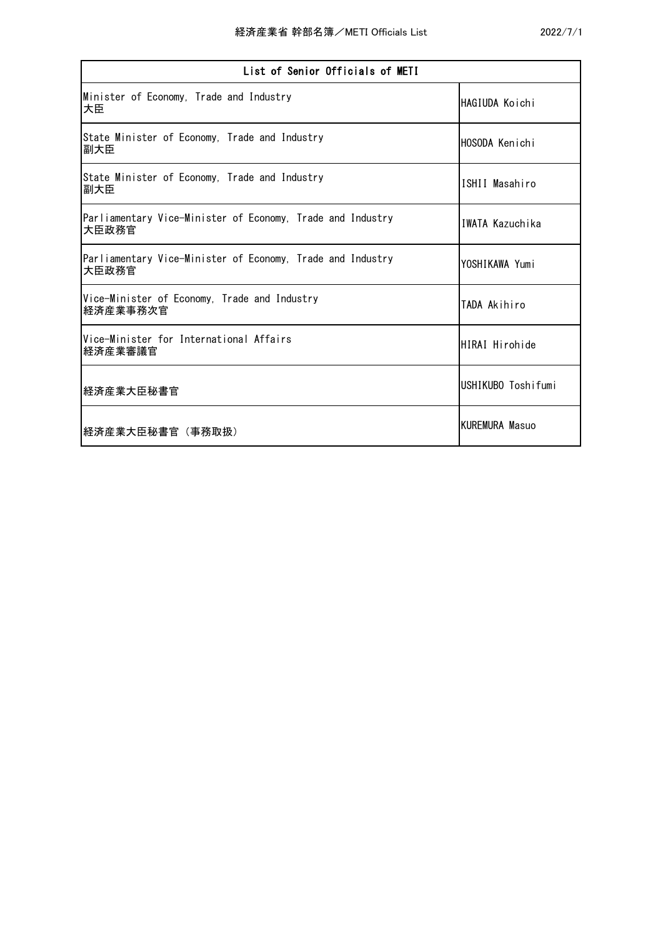| List of Senior Officials of METI                                    |                    |
|---------------------------------------------------------------------|--------------------|
| Minister of Economy, Trade and Industry<br>大臣                       | HAGIUDA Koichi     |
| State Minister of Economy, Trade and Industry<br>副大臣                | HOSODA Kenichi     |
| State Minister of Economy, Trade and Industry<br>副大臣                | ISHII Masahiro     |
| Parliamentary Vice-Minister of Economy, Trade and Industry<br>大臣政務官 | IWATA Kazuchika    |
| Parliamentary Vice-Minister of Economy, Trade and Industry<br>大臣政務官 | YOSHIKAWA Yumi     |
| Vice-Minister of Economy, Trade and Industry<br>経済産業事務次官            | TADA Akihiro       |
| Vice-Minister for International Affairs<br>経済産業審議官                  | HIRAI Hirohide     |
| 経済産業大臣秘書官                                                           | USHIKUBO Toshifumi |
| 経済産業大臣秘書官 (事務取扱)                                                    | KUREMURA Masuo     |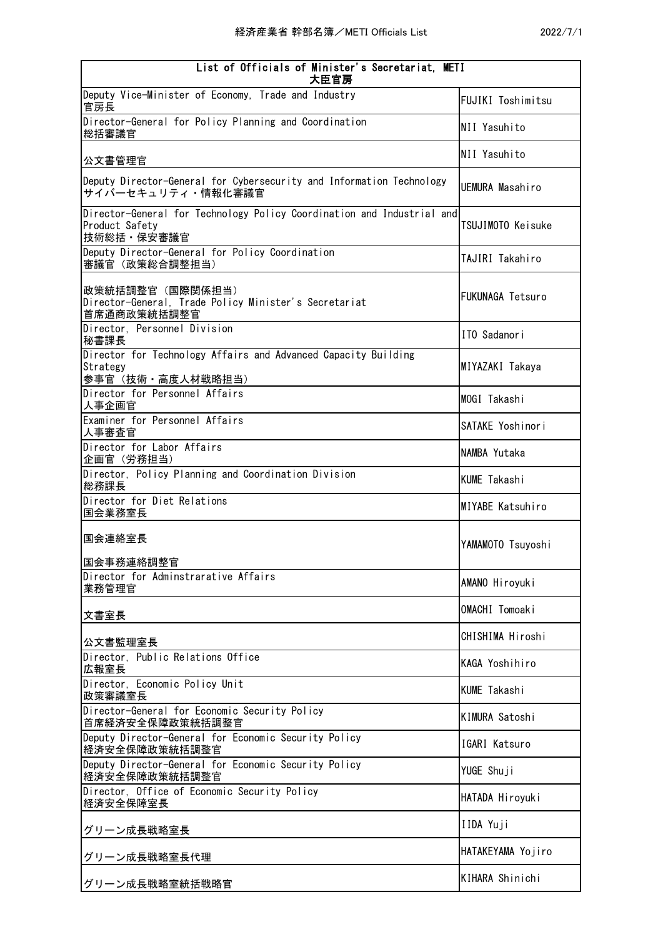| List of Officials of Minister's Secretariat, METI<br>大臣官房                                              |                         |
|--------------------------------------------------------------------------------------------------------|-------------------------|
| Deputy Vice-Minister of Economy, Trade and Industry<br>官房長                                             | FUJIKI Toshimitsu       |
| Director-General for Policy Planning and Coordination<br>総括審議官                                         | NII Yasuhito            |
| 公文書管理官                                                                                                 | NII Yasuhito            |
| Deputy Director-General for Cybersecurity and Information Technology<br>サイバーセキュリティ・情報化審議官              | UEMURA Masahiro         |
| Director-General for Technology Policy Coordination and Industrial and<br>Product Safety<br>技術総括・保安審議官 | TSUJIMOTO Keisuke       |
| Deputy Director-General for Policy Coordination<br>審議官 (政策総合調整担当)                                      | TAJIRI Takahiro         |
| 政策統括調整官(国際関係担当)<br>Director-General, Trade Policy Minister's Secretariat<br>首席通商政策統括調整官                | <b>FUKUNAGA Tetsuro</b> |
| Director, Personnel Division<br>秘書課長                                                                   | ITO Sadanori            |
| Director for Technology Affairs and Advanced Capacity Building<br>Strategy<br>参事官(技術・高度人材戦略担当)         | MIYAZAKI Takaya         |
| Director for Personnel Affairs<br>人事企画官                                                                | MOGI Takashi            |
| Examiner for Personnel Affairs<br>人事審査官                                                                | SATAKE Yoshinori        |
| Director for Labor Affairs<br>企画官 (労務担当)                                                               | NAMBA Yutaka            |
| Director, Policy Planning and Coordination Division<br>総務課長                                            | <b>KUME Takashi</b>     |
| Director for Diet Relations<br>国会業務室長                                                                  | MIYABE Katsuhiro        |
| 国会連絡室長                                                                                                 | YAMAMOTO Tsuyoshi       |
| 国会事務連絡調整官<br>Director for Adminstrarative Affairs                                                      |                         |
| 業務管理官                                                                                                  | AMANO Hiroyuki          |
| 文書室長                                                                                                   | OMACHI Tomoaki          |
| 公文書監理室長                                                                                                | CHISHIMA Hiroshi        |
| Director, Public Relations Office<br>広報室長                                                              | KAGA Yoshihiro          |
| Director, Economic Policy Unit<br>政策審議室長                                                               | <b>KUME Takashi</b>     |
| Director-General for Economic Security Policy<br>首席経済安全保障政策統括調整官                                       | <b>KIMURA Satoshi</b>   |
| Deputy Director-General for Economic Security Policy<br>経済安全保障政策統括調整官                                  | IGARI Katsuro           |
| Deputy Director-General for Economic Security Policy<br>経済安全保障政策統括調整官                                  | YUGE Shuji              |
| Director, Office of Economic Security Policy<br>経済安全保障室長                                               | HATADA Hiroyuki         |
| グリーン成長戦略室長                                                                                             | IIDA Yuji               |
| グリーン成長戦略室長代理                                                                                           | HATAKEYAMA Yojiro       |
| グリーン成長戦略室統括戦略官                                                                                         | KIHARA Shinichi         |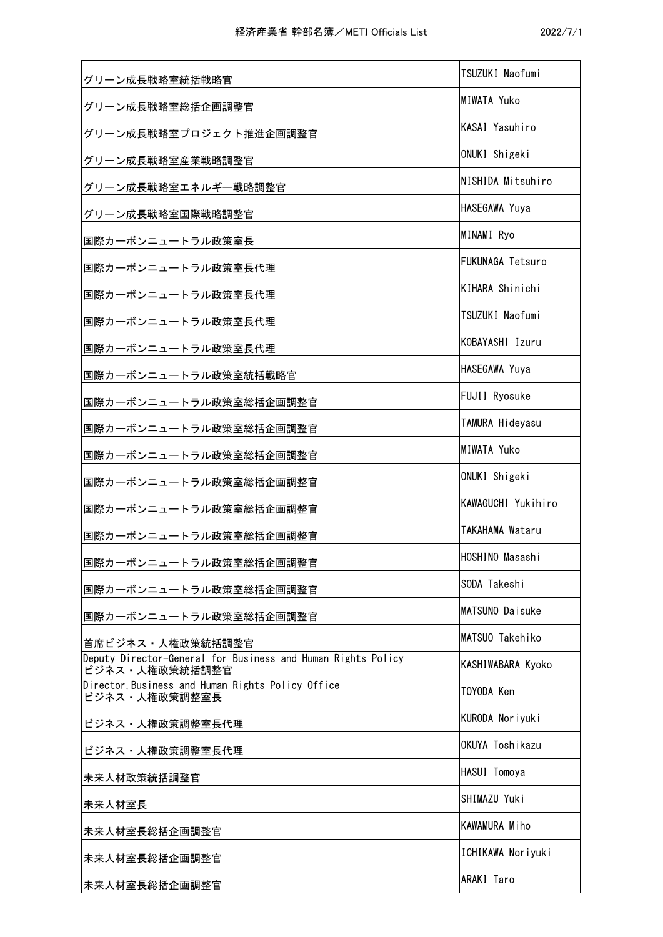| グリーン成長戦略室統括戦略官                                                                 | TSUZUKI Naofumi         |
|--------------------------------------------------------------------------------|-------------------------|
| グリーン成長戦略室総括企画調整官                                                               | <b>MIWATA Yuko</b>      |
| グリーン成長戦略室プロジェクト推進企画調整官                                                         | KASAI Yasuhiro          |
| グリーン成長戦略室産業戦略調整官                                                               | ONUKI Shigeki           |
| グリーン成長戦略室エネルギー戦略調整官                                                            | NISHIDA Mitsuhiro       |
| グリーン成長戦略室国際戦略調整官                                                               | HASEGAWA Yuya           |
| 国際カーボンニュートラル政策室長                                                               | MINAMI Ryo              |
| 国際カーボンニュートラル政策室長代理                                                             | <b>FUKUNAGA Tetsuro</b> |
| 国際カーボンニュートラル政策室長代理                                                             | KIHARA Shinichi         |
| 国際カーボンニュートラル政策室長代理                                                             | TSUZUKI Naofumi         |
| 国際カーボンニュートラル政策室長代理                                                             | KOBAYASHI Izuru         |
| 国際カーボンニュートラル政策室統括戦略官                                                           | HASEGAWA Yuya           |
| 国際カーボンニュートラル政策室総括企画調整官                                                         | FUJII Ryosuke           |
| 国際カーボンニュートラル政策室総括企画調整官                                                         | TAMURA Hideyasu         |
| 国際カーボンニュートラル政策室総括企画調整官                                                         | <b>MIWATA Yuko</b>      |
| 国際カーボンニュートラル政策室総括企画調整官                                                         | ONUKI Shigeki           |
| 国際カーボンニュートラル政策室総括企画調整官                                                         | KAWAGUCHI Yukihiro      |
| 国際カーボンニュートラル政策室総括企画調整官                                                         | TAKAHAMA Wataru         |
| 国際カーボンニュートラル政策室総括企画調整官                                                         | HOSHINO Masashi         |
| 国際カーボンニュートラル政策室総括企画調整官                                                         | SODA Takeshi            |
| 国際カーボンニュートラル政策室総括企画調整官                                                         | MATSUNO Daisuke         |
| 首席ビジネス・人権政策統括調整官                                                               | MATSUO Takehiko         |
| Deputy Director-General for Business and Human Rights Policy<br>ビジネス・人権政策統括調整官 | KASHIWABARA Kyoko       |
| Director, Business and Human Rights Policy Office<br>ビジネス・人権政策調整室長             | TOYODA Ken              |
| ビジネス・人権政策調整室長代理                                                                | KURODA Noriyuki         |
| ビジネス・人権政策調整室長代理                                                                | OKUYA Toshikazu         |
| 未来人材政策統括調整官                                                                    | HASUI Tomoya            |
| 未来人材室長                                                                         | SHIMAZU Yuki            |
| 未来人材室長総括企画調整官                                                                  | KAWAMURA Miho           |
| 未来人材室長総括企画調整官                                                                  | ICHIKAWA Noriyuki       |
| 未来人材室長総括企画調整官                                                                  | ARAKI Taro              |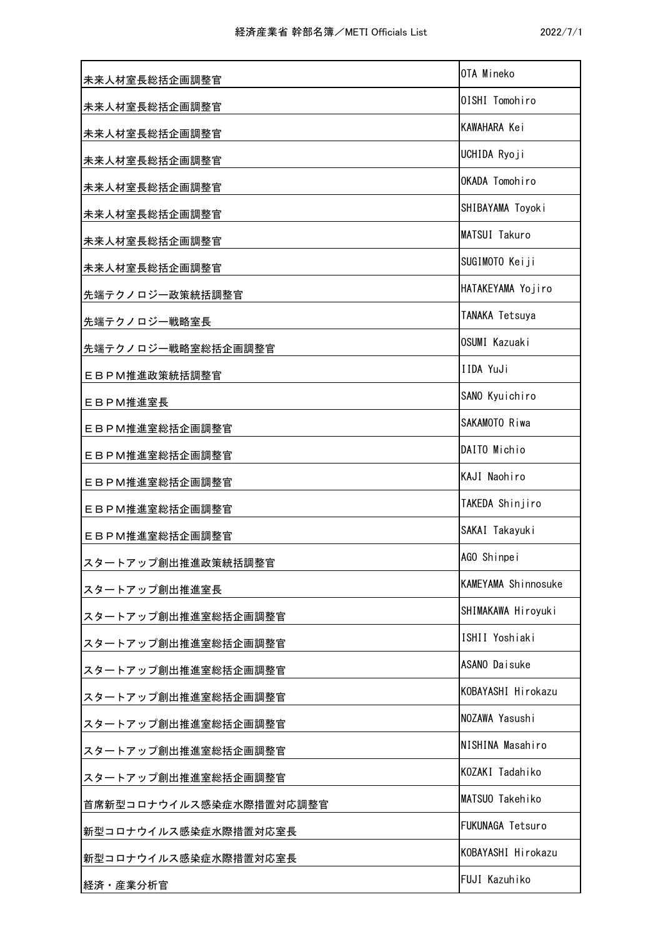| 未来人材室長総括企画調整官           | OTA Mineko          |
|-------------------------|---------------------|
| 未来人材室長総括企画調整官           | OISHI Tomohiro      |
| 未来人材室長総括企画調整官           | KAWAHARA Kei        |
| 未来人材室長総括企画調整官           | UCHIDA Ryoji        |
| 未来人材室長総括企画調整官           | OKADA Tomohiro      |
| 未来人材室長総括企画調整官           | SHIBAYAMA Toyoki    |
| 未来人材室長総括企画調整官           | MATSUI Takuro       |
| 未来人材室長総括企画調整官           | SUGIMOTO Keiji      |
| 先端テクノロジー政策統括調整官         | HATAKEYAMA Yojiro   |
| 先端テクノロジー戦略室長            | TANAKA Tetsuya      |
| 先端テクノロジー戦略室総括企画調整官      | OSUMI Kazuaki       |
| EBPM推進政策統括調整官           | IIDA YuJi           |
| EBPM推進室長                | SANO Kyuichiro      |
| EBPM推進室総括企画調整官          | SAKAMOTO Riwa       |
| EBPM推進室総括企画調整官          | DAITO Michio        |
| EBPM推進室総括企画調整官          | KAJI Naohiro        |
| EBPM推進室総括企画調整官          | TAKEDA Shinjiro     |
| EBPM推進室総括企画調整官          | SAKAI Takayuki      |
| スタートアップ創出推進政策統括調整官      | AGO Shinpei         |
| スタートアップ創出推進室長           | KAMEYAMA Shinnosuke |
| スタートアップ創出推進室総括企画調整官     | SHIMAKAWA Hiroyuki  |
| スタートアップ創出推進室総括企画調整官     | ISHII Yoshiaki      |
| スタートアップ創出推進室総括企画調整官     | ASANO Daisuke       |
| スタートアップ創出推進室総括企画調整官     | KOBAYASHI Hirokazu  |
| スタートアップ創出推進室総括企画調整官     | NOZAWA Yasushi      |
| スタートアップ創出推進室総括企画調整官     | NISHINA Masahiro    |
| スタートアップ創出推進室総括企画調整官     | KOZAKI Tadahiko     |
| 首席新型コロナウイルス感染症水際措置対応調整官 | MATSUO Takehiko     |
| 新型コロナウイルス感染症水際措置対応室長    | FUKUNAGA Tetsuro    |
| 新型コロナウイルス感染症水際措置対応室長    | KOBAYASHI Hirokazu  |
| 経済·産業分析官                | FUJI Kazuhiko       |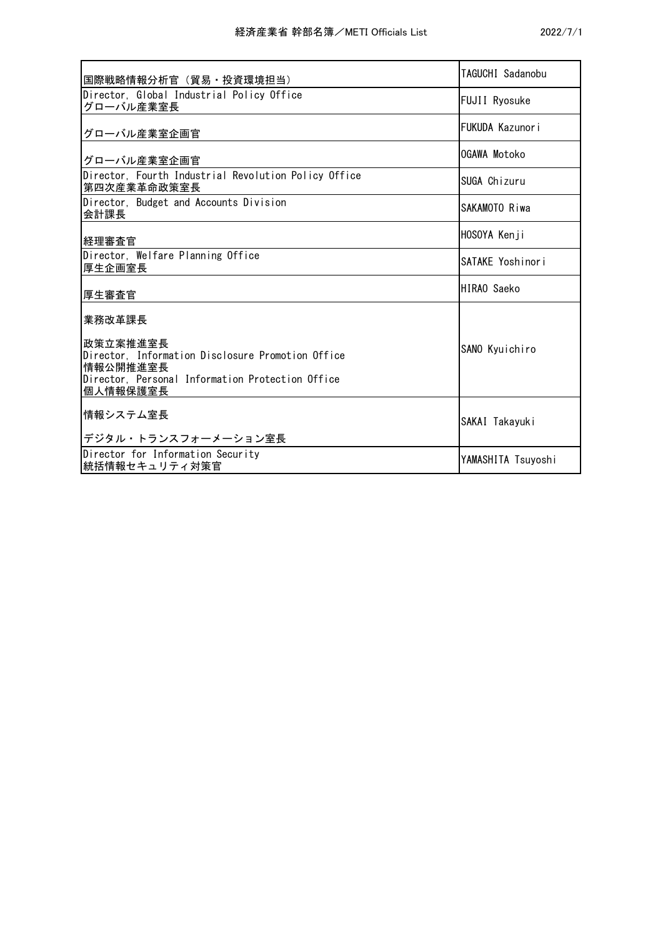| 国際戦略情報分析官 (貿易・投資環境担当)                                                                                                                     | TAGUCHI Sadanobu   |
|-------------------------------------------------------------------------------------------------------------------------------------------|--------------------|
| Director, Global Industrial Policy Office<br>グローバル産業室長                                                                                    | FUJII Ryosuke      |
| グローバル産業室企画官                                                                                                                               | FUKUDA Kazunori    |
| グローバル産業室企画官                                                                                                                               | OGAWA Motoko       |
| Director, Fourth Industrial Revolution Policy Office<br>第四次産業革命政策室長                                                                       | SUGA Chizuru       |
| Director, Budget and Accounts Division<br>会計課長                                                                                            | SAKAMOTO Riwa      |
| 経理審査官                                                                                                                                     | HOSOYA Kenji       |
| Director, Welfare Planning Office<br>厚生企画室長                                                                                               | SATAKE Yoshinori   |
| 厚生審査官                                                                                                                                     | HIRAO Saeko        |
| 業務改革課長                                                                                                                                    |                    |
| 政策立案推進室長<br>Director, Information Disclosure Promotion Office<br>情報公開推進室長<br>Director, Personal Information Protection Office<br>個人情報保護室長 | SANO Kyuichiro     |
| 情報システム室長<br>デジタル・トランスフォーメーション室長                                                                                                           | SAKAI Takayuki     |
| Director for Information Security<br>統括情報セキュリティ対策官                                                                                        | YAMASHITA Tsuyoshi |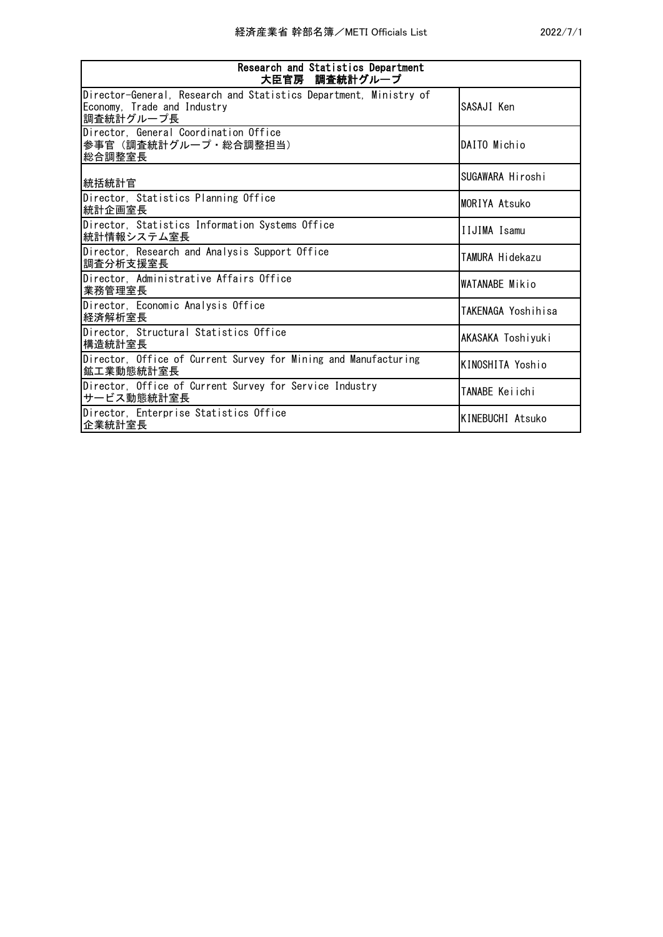| Research and Statistics Department<br>大臣官房 調査統計グループ                                                           |                       |
|---------------------------------------------------------------------------------------------------------------|-----------------------|
| Director-General, Research and Statistics Department, Ministry of<br>Economy, Trade and Industry<br>調査統計グループ長 | SASAJI Ken            |
| Director, General Coordination Office<br>参事官(調査統計グループ・総合調整担当)<br>総合調整室長                                       | DAITO Michio          |
| 統括統計官                                                                                                         | SUGAWARA Hiroshi      |
| Director, Statistics Planning Office<br>統計企画室長                                                                | MORIYA Atsuko         |
| Director, Statistics Information Systems Office<br>統計情報システム室長                                                 | <b>IIJIMA Isamu</b>   |
| Director, Research and Analysis Support Office<br>調杳分析支援室長                                                    | TAMURA Hidekazu       |
| Director, Administrative Affairs Office<br>業務管理室長                                                             | WATANABE Mikio        |
| Director, Economic Analysis Office<br>経済解析室長                                                                  | TAKENAGA Yoshihisa    |
| Director, Structural Statistics Office<br>構造統計室長                                                              | AKASAKA Toshiyuki     |
| Director, Office of Current Survey for Mining and Manufacturing<br>鉱工業動態統計室長                                  | KINOSHITA Yoshio      |
| Director, Office of Current Survey for Service Industry<br>サービス動態統計室長                                         | <b>TANABE Keiichi</b> |
| Director, Enterprise Statistics Office<br>企業統計室長                                                              | KINEBUCHI Atsuko      |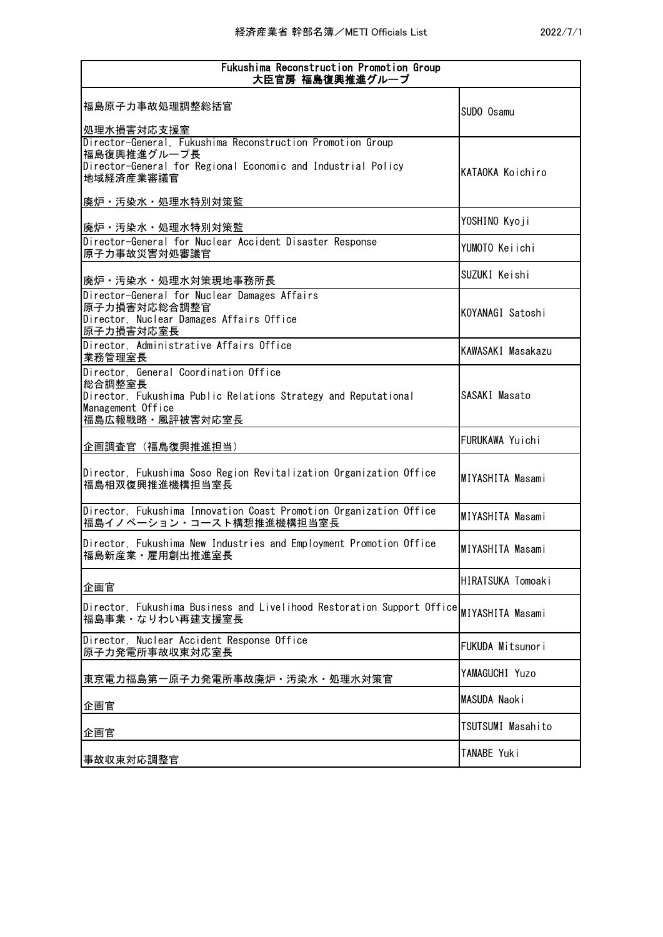| Fukushima Reconstruction Promotion Group<br>大臣官房 福島復興推進グループ                                                                                                               |                   |  |
|---------------------------------------------------------------------------------------------------------------------------------------------------------------------------|-------------------|--|
| 福島原子力事故処理調整総括官<br>処理水損害対応支援室                                                                                                                                              | SUDO Osamu        |  |
| Director-General, Fukushima Reconstruction Promotion Group<br>福島復興推進グループ長<br>Director-General for Regional Economic and Industrial Policy<br>地域経済産業審議官<br>廃炉·汚染水·処理水特別対策監 | KATAOKA Koichiro  |  |
| 廃炉・汚染水・処理水特別対策監                                                                                                                                                           | YOSHINO Kyoji     |  |
| Director-General for Nuclear Accident Disaster Response<br>原子力事故災害対処審議官                                                                                                   | YUMOTO Keiichi    |  |
| 廃炉·汚染水·処理水対策現地事務所長                                                                                                                                                        | SUZUKI Keishi     |  |
| Director-General for Nuclear Damages Affairs<br>原子力損害対応総合調整官<br>Director, Nuclear Damages Affairs Office<br>原子力損害対応室長                                                     | KOYANAGI Satoshi  |  |
| Director, Administrative Affairs Office<br>業務管理室長                                                                                                                         | KAWASAKI Masakazu |  |
| Director, General Coordination Office<br>総合調整室長<br>Director, Fukushima Public Relations Strategy and Reputational<br>Management Office<br>福島広報戦略・風評被害対応室長                 | SASAKI Masato     |  |
| 企画調査官(福島復興推進担当)                                                                                                                                                           | FURUKAWA Yuichi   |  |
| Director, Fukushima Soso Region Revitalization Organization Office<br>福島相双復興推進機構担当室長                                                                                      | MIYASHITA Masami  |  |
| Director, Fukushima Innovation Coast Promotion Organization Office<br>福島イノベーション・コースト構想推進機構担当室長                                                                            | MIYASHITA Masami  |  |
| Director, Fukushima New Industries and Employment Promotion Office<br>福島新産業・雇用創出推進室長                                                                                      | MIYASHITA Masami  |  |
| 企画官                                                                                                                                                                       | HIRATSUKA Tomoaki |  |
| Director, Fukushima Business and Livelihood Restoration Support Office <b> <sub>MIYASHITA Masami</sub></b><br>福島事業・なりわい再建支援室長                                             |                   |  |
| Director, Nuclear Accident Response Office<br>原子力発電所事故収束対応室長                                                                                                              | FUKUDA Mitsunori  |  |
| 東京電力福島第一原子力発電所事故廃炉・汚染水・処理水対策官                                                                                                                                             | YAMAGUCHI Yuzo    |  |
| 企画官                                                                                                                                                                       | MASUDA Naoki      |  |
| 企画官                                                                                                                                                                       | TSUTSUMI Masahito |  |
| 事故収束対応調整官                                                                                                                                                                 | TANABE Yuki       |  |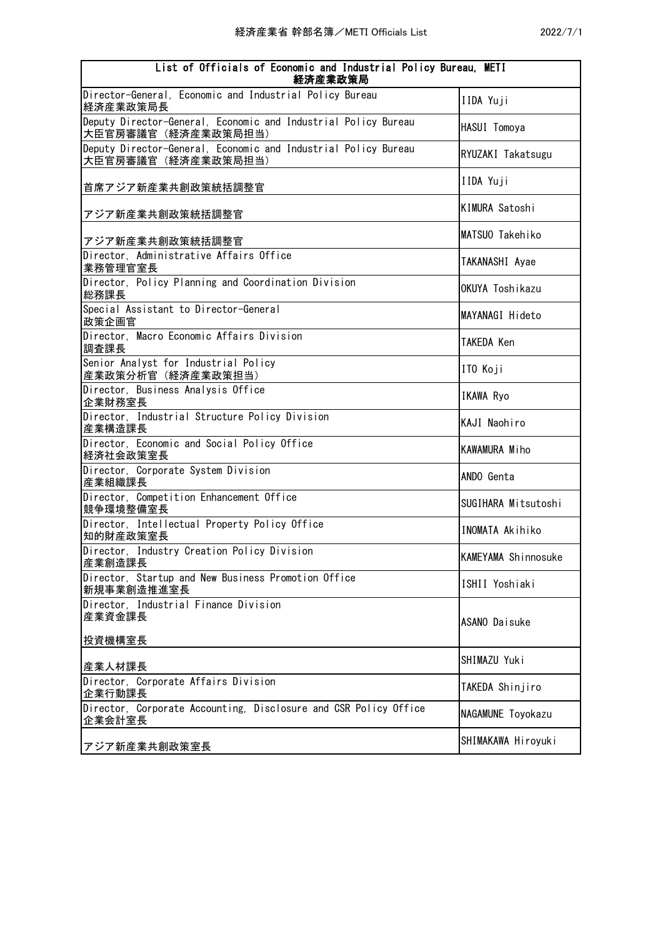| List of Officials of Economic and Industrial Policy Bureau, METI<br>経済産業政策局          |                        |
|--------------------------------------------------------------------------------------|------------------------|
| Director-General, Economic and Industrial Policy Bureau<br>経済産業政策局長                  | IIDA Yuji              |
| Deputy Director-General, Economic and Industrial Policy Bureau<br>大臣官房審議官(経済産業政策局担当) | HASUI Tomoya           |
| Deputy Director-General, Economic and Industrial Policy Bureau<br>大臣官房審議官(経済産業政策局担当) | RYUZAKI Takatsugu      |
| 首席アジア新産業共創政策統括調整官                                                                    | IIDA Yuji              |
| アジア新産業共創政策統括調整官                                                                      | KIMURA Satoshi         |
| アジア新産業共創政策統括調整官                                                                      | MATSUO Takehiko        |
| Director, Administrative Affairs Office<br>業務管理官室長                                   | TAKANASHI Ayae         |
| Director, Policy Planning and Coordination Division<br>総務課長                          | OKUYA Toshikazu        |
| Special Assistant to Director-General<br>政策企画官                                       | MAYANAGI Hideto        |
| Director, Macro Economic Affairs Division<br>調査課長                                    | TAKEDA Ken             |
| Senior Analyst for Industrial Policy<br>産業政策分析官(経済産業政策担当)                            | ITO Koji               |
| Director, Business Analysis Office<br>企業財務室長                                         | IKAWA Ryo              |
| Director, Industrial Structure Policy Division<br>産業構造課長                             | KAJI Naohiro           |
| Director, Economic and Social Policy Office<br>経済社会政策室長                              | <b>KAWAMURA Miho</b>   |
| Director, Corporate System Division<br>産業組織課長                                        | ANDO Genta             |
| Director, Competition Enhancement Office<br>競争環境整備室長                                 | SUGIHARA Mitsutoshi    |
| Director, Intellectual Property Policy Office<br>知的財産政策室長                            | <b>INOMATA Akihiko</b> |
| Director, Industry Creation Policy Division<br>産業創造課長                                | KAMEYAMA Shinnosuke    |
| Director, Startup and New Business Promotion Office<br>新規事業創造推進室長                    | ISHII Yoshiaki         |
| Director, Industrial Finance Division<br>産業資金課長                                      | ASANO Daisuke          |
| 投資機構室長                                                                               |                        |
| 産業人材課長                                                                               | SHIMAZU Yuki           |
| Director, Corporate Affairs Division<br>企業行動課長                                       | TAKEDA Shinjiro        |
| Director, Corporate Accounting, Disclosure and CSR Policy Office<br>企業会計室長           | NAGAMUNE Toyokazu      |
| アジア新産業共創政策室長                                                                         | SHIMAKAWA Hiroyuki     |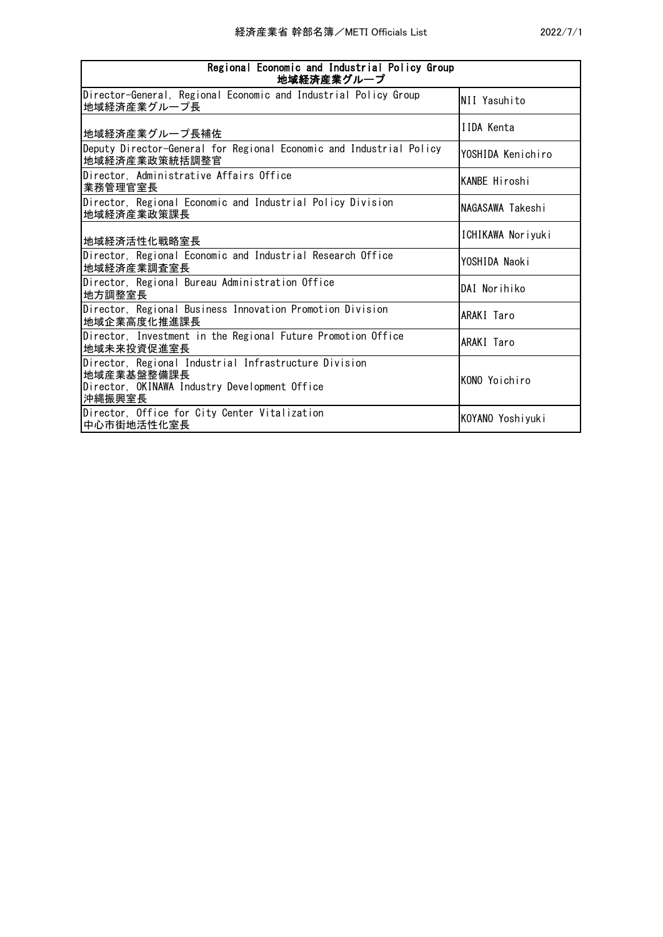| Regional Economic and Industrial Policy Group<br>地域経済産業グループ                                                                    |                      |  |
|--------------------------------------------------------------------------------------------------------------------------------|----------------------|--|
| Director-General, Regional Economic and Industrial Policy Group<br>地域経済産業グループ長                                                 | NII Yasuhito         |  |
| 地域経済産業グループ長補佐                                                                                                                  | IIDA Kenta           |  |
| Deputy Director-General for Regional Economic and Industrial Policy<br>地域経済産業政策統括調整官                                           | YOSHIDA Kenichiro    |  |
| Director, Administrative Affairs Office<br>業務管理官室長                                                                             | <b>KANBE Hiroshi</b> |  |
| Director, Regional Economic and Industrial Policy Division<br>地域経済産業政策課長                                                       | NAGASAWA Takeshi     |  |
| 地域経済活性化戦略室長                                                                                                                    | ICHIKAWA Noriyuki    |  |
| Director, Regional Economic and Industrial Research Office<br>地域経済産業調査室長                                                       | YOSHIDA Naoki        |  |
| Director, Regional Bureau Administration Office<br>地方調整室長                                                                      | DAI Norihiko         |  |
| Director, Regional Business Innovation Promotion Division<br>地域企業高度化推進課長                                                       | ARAKI Taro           |  |
| Director, Investment in the Regional Future Promotion Office<br>地域未来投資促進室長                                                     | ARAKI Taro           |  |
| Director, Regional Industrial Infrastructure Division<br>地域産業基盤整備課長<br>Director, OKINAWA Industry Development Office<br>沖縄振興室長 | KONO Yoichiro        |  |
| Director, Office for City Center Vitalization<br>中心市街地活性化室長                                                                    | KOYANO Yoshiyuki     |  |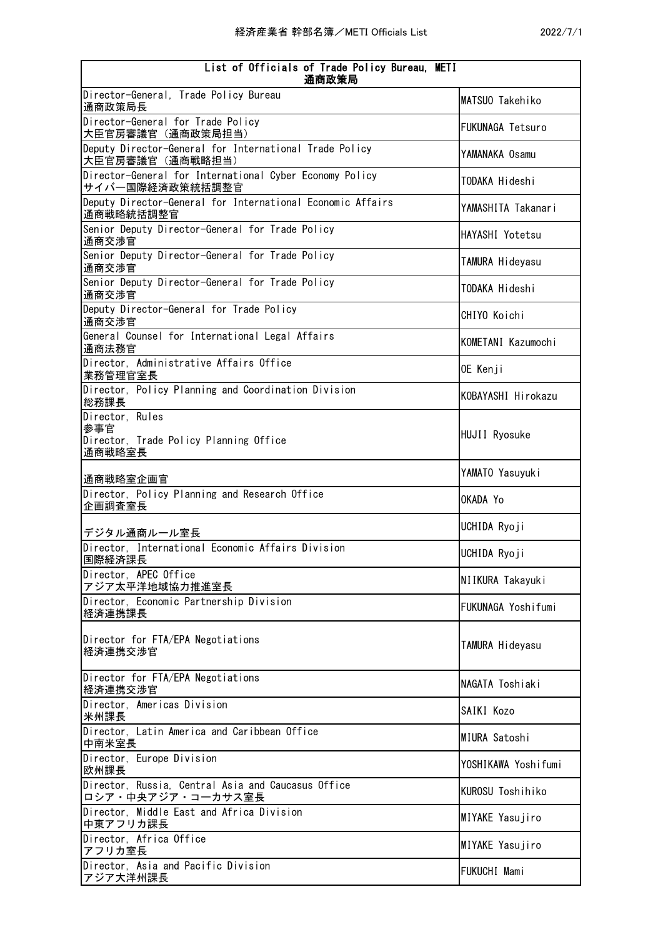| List of Officials of Trade Policy Bureau, METI<br>通商政策局                    |                         |  |
|----------------------------------------------------------------------------|-------------------------|--|
| Director-General, Trade Policy Bureau<br>通商政策局長                            | MATSUO Takehiko         |  |
| Director-General for Trade Policy<br>大臣官房審議官 (通商政策局担当)                     | <b>FUKUNAGA Tetsuro</b> |  |
| Deputy Director-General for International Trade Policy<br>大臣官房審議官 (通商戦略担当) | YAMANAKA Osamu          |  |
| Director-General for International Cyber Economy Policy<br>サイバー国際経済政策統括調整官 | TODAKA Hideshi          |  |
| Deputy Director-General for International Economic Affairs<br>通商戦略統括調整官    | YAMASHITA Takanari      |  |
| Senior Deputy Director-General for Trade Policy<br>通商交渉官                   | HAYASHI Yotetsu         |  |
| Senior Deputy Director-General for Trade Policy<br>通商交渉官                   | TAMURA Hideyasu         |  |
| Senior Deputy Director-General for Trade Policy<br>通商交渉官                   | TODAKA Hideshi          |  |
| Deputy Director-General for Trade Policy<br>通商交渉官                          | CHIYO Koichi            |  |
| General Counsel for International Legal Affairs<br>通商法務官                   | KOMETANI Kazumochi      |  |
| Director, Administrative Affairs Office<br>業務管理官室長                         | OE Kenji                |  |
| Director, Policy Planning and Coordination Division<br>総務課長                | KOBAYASHI Hirokazu      |  |
| Director, Rules<br>参事官                                                     | HUJII Ryosuke           |  |
| Director, Trade Policy Planning Office<br>通商戦略室長                           |                         |  |
| 通商戦略室企画官                                                                   | YAMATO Yasuyuki         |  |
| Director, Policy Planning and Research Office<br>企画調査室長                    | OKADA Yo                |  |
| デジタル通商ルール室長                                                                | UCHIDA Ryoji            |  |
| Director, International Economic Affairs Division<br>国際経済課長                | UCHIDA Ryoji            |  |
| Director, APEC Office<br> アジア太平洋地域協力推進室長                                   | NI IKURA Takayuki       |  |
| Director, Economic Partnership Division<br>経済連携課長                          | FUKUNAGA Yoshifumi      |  |
| Director for FTA/EPA Negotiations<br>経済連携交渉官                               | TAMURA Hideyasu         |  |
| Director for FTA/EPA Negotiations<br>経済連携交渉官                               | NAGATA Toshiaki         |  |
| Director, Americas Division<br>米州課長                                        | SAIKI Kozo              |  |
| Director, Latin America and Caribbean Office<br>中南米室長                      | MIURA Satoshi           |  |
| Director, Europe Division<br>欧州課長                                          | YOSHIKAWA Yoshifumi     |  |
| Director, Russia, Central Asia and Caucasus Office<br>ロシア・中央アジア・コーカサス室長    | KUROSU Toshihiko        |  |
| Director, Middle East and Africa Division<br>中東アフリカ課長                      | MIYAKE Yasujiro         |  |
| Director, Africa Office<br>アフリカ室長                                          | MIYAKE Yasujiro         |  |
| Director, Asia and Pacific Division<br>アジア大洋州課長                            | <b>FUKUCHI Mami</b>     |  |
|                                                                            |                         |  |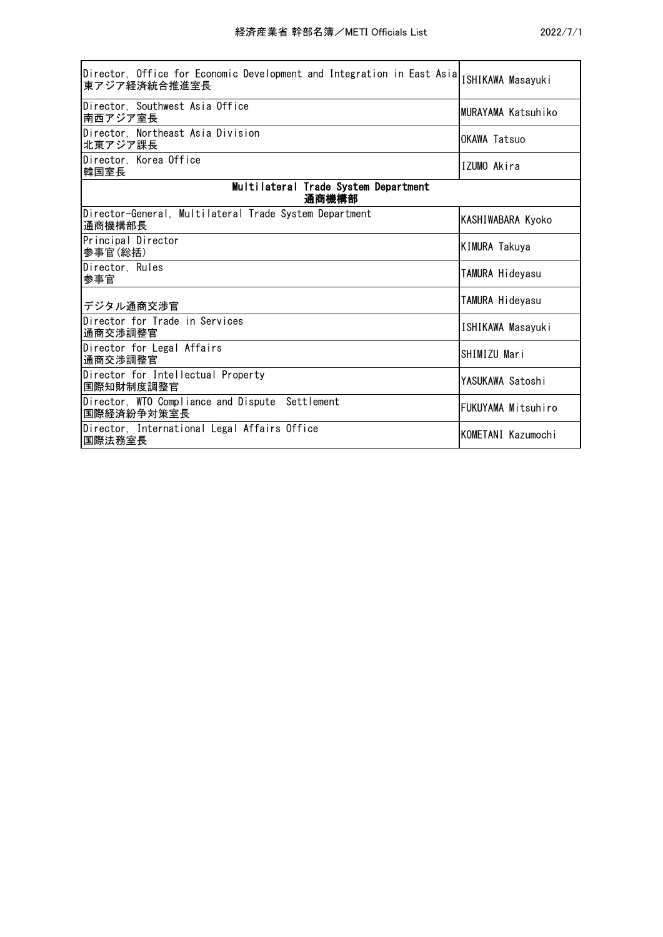| Director, Office for Economic Development and Integration in East Asia<br>東アジア経済統合推進室長 | ISHIKAWA Masayuki    |
|----------------------------------------------------------------------------------------|----------------------|
| Director, Southwest Asia Office<br> 南西アジア室長                                            | MURAYAMA Katsuhiko   |
| Director. Northeast Asia Division<br>北東アジア課長                                           | OKAWA Tatsuo         |
| Director, Korea Office<br>韓国室長                                                         | IZUMO Akira          |
| Multilateral Trade System Department<br>通商機構部                                          |                      |
| Director-General, Multilateral Trade System Department<br>通商機構部長                       | KASHIWABARA Kyoko    |
| Principal Director<br>参事官(総括)                                                          | <b>KIMURA Takuya</b> |
| Director, Rules<br>参事官                                                                 | TAMURA Hideyasu      |
| デジタル通商交渉官                                                                              | TAMURA Hideyasu      |
| Director for Trade in Services<br>通商交渉調整官                                              | ISHIKAWA Masayuki    |
| Director for Legal Affairs<br>通商交渉調整官                                                  | SHIMIZU Mari         |
| Director for Intellectual Property<br>国際知財制度調整官                                        | YASUKAWA Satoshi     |
| Director, WTO Compliance and Dispute Settlement<br>国際経済紛争対策室長                          | FUKUYAMA Mitsuhiro   |
| Director, International Legal Affairs Office<br>国際法務室長                                 | KOMETANI Kazumochi   |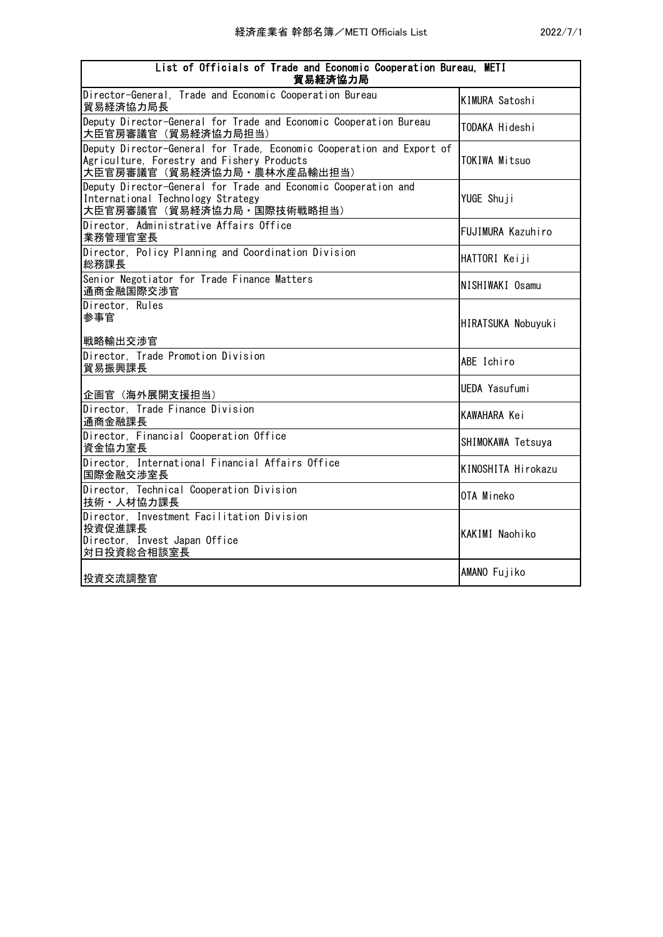| List of Officials of Trade and Economic Cooperation Bureau, METI<br>貿易経済協力局                                                                       |                       |
|---------------------------------------------------------------------------------------------------------------------------------------------------|-----------------------|
| Director-General, Trade and Economic Cooperation Bureau<br>貿易経済協力局長                                                                               | <b>KIMURA Satoshi</b> |
| Deputy Director-General for Trade and Economic Cooperation Bureau<br>大臣官房審議官(貿易経済協力局担当)                                                           | TODAKA Hideshi        |
| Deputy Director-General for Trade, Economic Cooperation and Export of<br>Agriculture, Forestry and Fishery Products<br>大臣官房審議官(貿易経済協力局・農林水産品輸出担当) | TOKIWA Mitsuo         |
| Deputy Director-General for Trade and Economic Cooperation and<br>International Technology Strategy<br>大臣官房審議官 (貿易経済協力局・国際技術戦略担当)                 | YUGE Shuji            |
| Director, Administrative Affairs Office<br> 業務管理官室長                                                                                               | FUJIMURA Kazuhiro     |
| Director, Policy Planning and Coordination Division<br>総務課長                                                                                       | HATTORI Keiji         |
| Senior Negotiator for Trade Finance Matters<br>通商金融国際交渉官                                                                                          | NISHIWAKI Osamu       |
| Director, Rules<br>参事官<br> 戦略輸出交渉官                                                                                                                | HIRATSUKA Nobuyuki    |
| Director, Trade Promotion Division<br>貿易振興課長                                                                                                      | ABE Ichiro            |
| 企画官(海外展開支援担当)                                                                                                                                     | <b>UEDA Yasufumi</b>  |
| Director, Trade Finance Division<br>通商金融課長                                                                                                        | KAWAHARA Kei          |
| Director, Financial Cooperation Office<br> 資金協力室長                                                                                                 | SHIMOKAWA Tetsuya     |
| Director, International Financial Affairs Office<br>国際金融交渉室長                                                                                      | KINOSHITA Hirokazu    |
| Director, Technical Cooperation Division<br> 技術・人材協力課長                                                                                            | OTA Mineko            |
| Director, Investment Facilitation Division<br>投資促進課長<br>Director, Invest Japan Office<br> 対日投資総合相談室長                                              | KAKIMI Naohiko        |
| 投資交流調整官                                                                                                                                           | AMANO Fujiko          |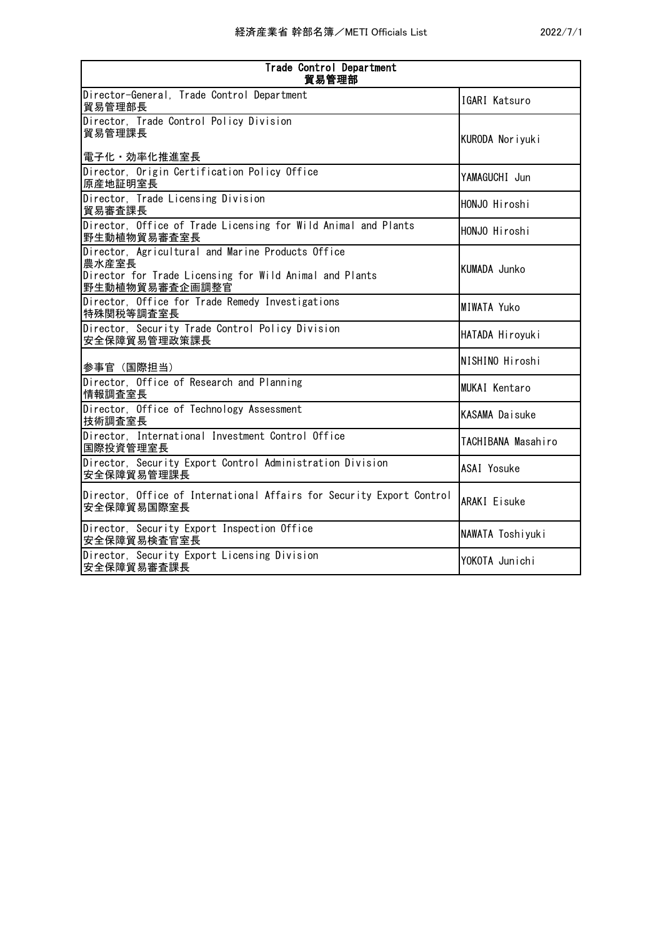| Trade Control Department<br>貿易管理部                                                                                                       |                       |  |
|-----------------------------------------------------------------------------------------------------------------------------------------|-----------------------|--|
| Director-General, Trade Control Department<br>貿易管理部長                                                                                    | IGARI Katsuro         |  |
| Director, Trade Control Policy Division<br>貿易管理課長<br>電子化・効率化推進室長                                                                        | KURODA Noriyuki       |  |
| Director, Origin Certification Policy Office<br>原産地証明室長                                                                                 | YAMAGUCHI Jun         |  |
| Director, Trade Licensing Division<br>貿易審査課長                                                                                            | HONJO Hiroshi         |  |
| Director, Office of Trade Licensing for Wild Animal and Plants<br>野生動植物貿易審査室長                                                           | HONJO Hiroshi         |  |
| Director, Agricultural and Marine Products Office<br>農水産室長<br>Director for Trade Licensing for Wild Animal and Plants<br>野生動植物貿易審査企画調整官 | KUMADA Junko          |  |
| Director, Office for Trade Remedy Investigations<br>特殊関税等調査室長                                                                           | MIWATA Yuko           |  |
| Director, Security Trade Control Policy Division<br>安全保障貿易管理政策課長                                                                        | HATADA Hiroyuki       |  |
| 参事官 (国際担当)                                                                                                                              | NISHINO Hiroshi       |  |
| Director, Office of Research and Planning<br>情報調査室長                                                                                     | <b>MUKAI Kentaro</b>  |  |
| Director, Office of Technology Assessment<br>技術調査室長                                                                                     | <b>KASAMA Daisuke</b> |  |
| Director, International Investment Control Office<br>国際投資管理室長                                                                           | TACHIBANA Masahiro    |  |
| Director, Security Export Control Administration Division<br>安全保障貿易管理課長                                                                 | ASAI Yosuke           |  |
| Director, Office of International Affairs for Security Export Control<br>安全保障貿易国際室長                                                     | <b>ARAKI</b> Eisuke   |  |
| Director, Security Export Inspection Office<br>安全保障貿易検査官室長                                                                              | NAWATA Toshiyuki      |  |
| Director, Security Export Licensing Division<br>安全保障貿易審査課長                                                                              | YOKOTA Junichi        |  |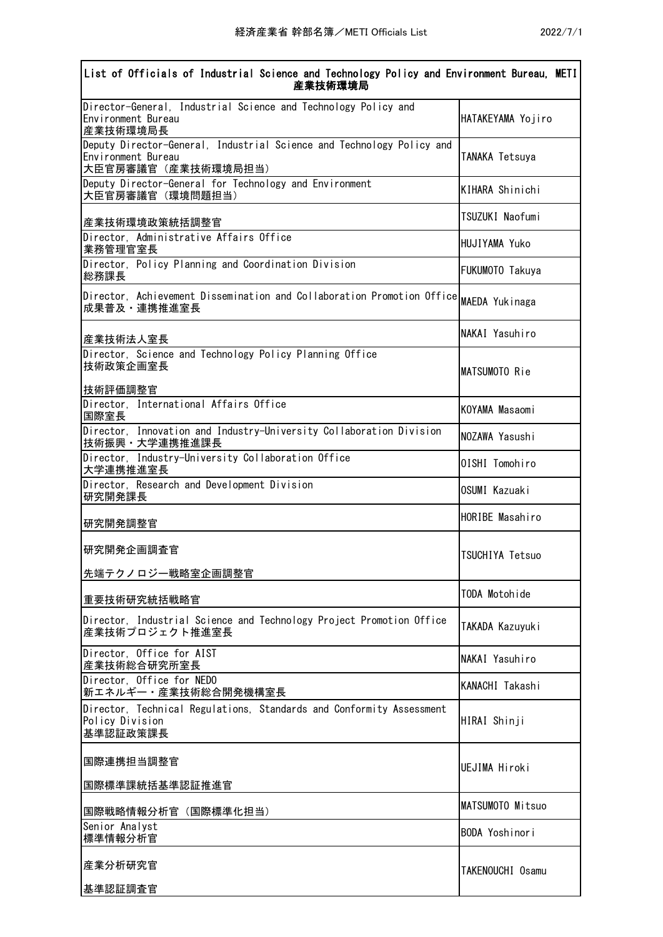| List of Officials of Industrial Science and Technology Policy and Environment Bureau, METI<br>産業技術環境局              |                        |  |
|--------------------------------------------------------------------------------------------------------------------|------------------------|--|
| Director-General, Industrial Science and Technology Policy and<br>Environment Bureau<br>産業技術環境局長                   | HATAKEYAMA Yojiro      |  |
| Deputy Director-General, Industrial Science and Technology Policy and<br>Environment Bureau<br>大臣官房審議官 (産業技術環境局担当) | TANAKA Tetsuya         |  |
| Deputy Director-General for Technology and Environment<br>大臣官房審議官 (環境問題担当)                                         | KIHARA Shinichi        |  |
| 産業技術環境政策統括調整官                                                                                                      | TSUZUKI Naofumi        |  |
| Director, Administrative Affairs Office<br>業務管理官室長                                                                 | <b>HUJIYAMA Yuko</b>   |  |
| Director, Policy Planning and Coordination Division<br>総務課長                                                        | FUKUMOTO Takuya        |  |
| Director, Achievement Dissemination and Collaboration Promotion Office MAEDA Yukinaga<br>成果普及・連携推進室長               |                        |  |
| 産業技術法人室長                                                                                                           | NAKAI Yasuhiro         |  |
| Director, Science and Technology Policy Planning Office<br>技術政策企画室長                                                | MATSUMOTO Rie          |  |
| 技術評価調整官<br>Director, International Affairs Office                                                                  | KOYAMA Masaomi         |  |
| 国際室長<br>Director, Innovation and Industry-University Collaboration Division<br>技術振興·大学連携推進課長                       | NOZAWA Yasushi         |  |
| Director, Industry-University Collaboration Office<br>大学連携推進室長                                                     | OISHI Tomohiro         |  |
| Director, Research and Development Division<br>研究開発課長                                                              | OSUMI Kazuaki          |  |
| 研究開発調整官                                                                                                            | HORIBE Masahiro        |  |
| 研究開発企画調査官                                                                                                          | <b>TSUCHIYA Tetsuo</b> |  |
| 先端テクノロジー戦略室企画調整官                                                                                                   | TODA Motohide          |  |
| 重要技術研究統括戦略官                                                                                                        |                        |  |
| Director, Industrial Science and Technology Project Promotion Office<br>産業技術プロジェクト推進室長                             | TAKADA Kazuyuki        |  |
| Director, Office for AIST<br>産業技術総合研究所室長                                                                           | NAKAI Yasuhiro         |  |
| Director, Office for NEDO<br>新エネルギー・産業技術総合開発機構室長                                                                   | KANACHI Takashi        |  |
| Director, Technical Regulations, Standards and Conformity Assessment<br>Policy Division<br>基準認証政策課長                | HIRAI Shinji           |  |
| 国際連携担当調整官                                                                                                          | <b>UEJIMA Hiroki</b>   |  |
| 国際標準課統括基準認証推進官                                                                                                     | MATSUMOTO Mitsuo       |  |
| 国際戦略情報分析官(国際標準化担当)<br>Senior Analyst                                                                               |                        |  |
| 標準情報分析官                                                                                                            | <b>BODA Yoshinori</b>  |  |
| 産業分析研究官                                                                                                            | TAKENOUCHI Osamu       |  |
| 基準認証調査官                                                                                                            |                        |  |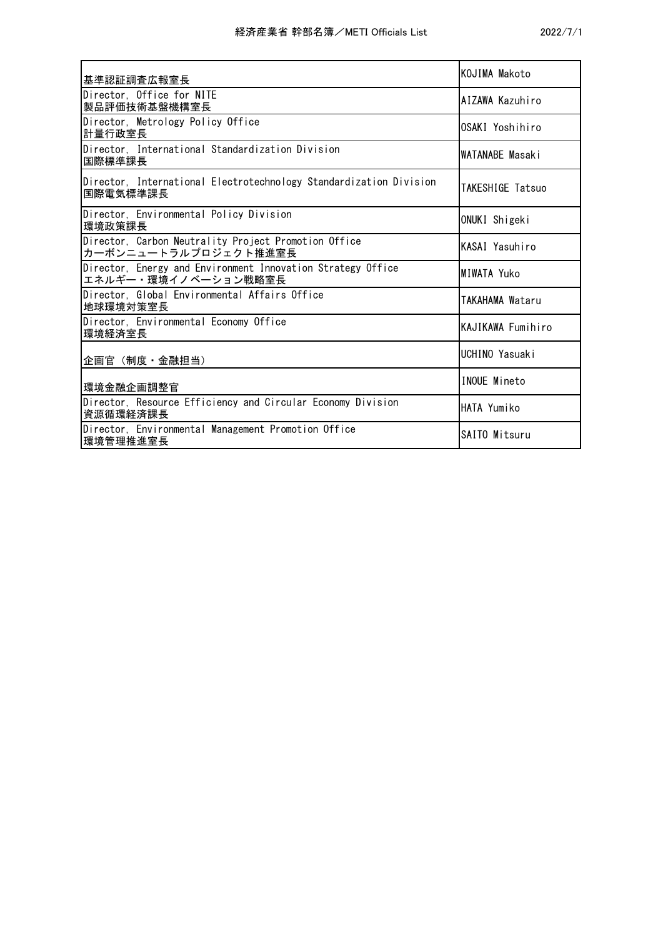| 基準認証調査広報室長                                                                         | KOJIMA Makoto      |
|------------------------------------------------------------------------------------|--------------------|
| Director, Office for NITE<br>製品評価技術基盤機構室長                                          | AIZAWA Kazuhiro    |
| Director, Metrology Policy Office<br>計量行政室長                                        | OSAKI Yoshihiro    |
| Director, International Standardization Division<br>国際標準課長                         | WATANABE Masaki    |
| Director, International Electrotechnology Standardization Division<br>国際電気標準課長     | TAKESHIGE Tatsuo   |
| Director, Environmental Policy Division<br>環境政策課長                                  | ONUKI Shigeki      |
| Director, Carbon Neutrality Project Promotion Office<br>カーボンニュートラルプロジェクト推進室長       | KASAI Yasuhiro     |
| Director, Energy and Environment Innovation Strategy Office<br>エネルギー・環境イノベーション戦略室長 | <b>MIWATA Yuko</b> |
| Director, Global Environmental Affairs Office<br>地球環境対策室長                          | TAKAHAMA Wataru    |
| Director, Environmental Economy Office<br>環境経済室長                                   | KAJIKAWA Fumihiro  |
| 企画官 (制度 · 金融担当)                                                                    | UCHINO Yasuaki     |
| 環境金融企画調整官                                                                          | INOUE Mineto       |
| Director, Resource Efficiency and Circular Economy Division<br>資源循環経済課長            | HATA Yumiko        |
| Director, Environmental Management Promotion Office<br>環境管理推進室長                    | SAITO Mitsuru      |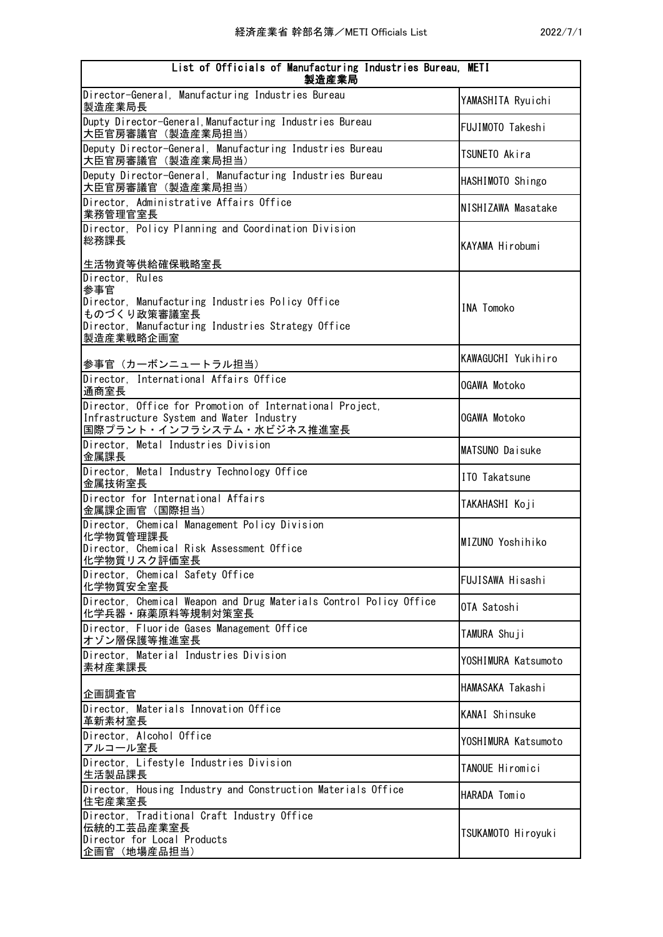| List of Officials of Manufacturing Industries Bureau, METI<br>製造産業局                                                                       |                     |  |
|-------------------------------------------------------------------------------------------------------------------------------------------|---------------------|--|
| Director-General, Manufacturing Industries Bureau<br>製造産業局長                                                                               | YAMASHITA Ryuichi   |  |
| Dupty Director-General, Manufacturing Industries Bureau<br>大臣官房審議官 (製造産業局担当)                                                              | FUJIMOTO Takeshi    |  |
| Deputy Director-General, Manufacturing Industries Bureau<br>大臣官房審議官 (製造産業局担当)                                                             | TSUNETO Akira       |  |
| Deputy Director-General, Manufacturing Industries Bureau<br>大臣官房審議官 (製造産業局担当)                                                             | HASHIMOTO Shingo    |  |
| Director, Administrative Affairs Office<br>業務管理官室長                                                                                        | NISHIZAWA Masatake  |  |
| Director, Policy Planning and Coordination Division<br>総務課長                                                                               | KAYAMA Hirobumi     |  |
| 生活物資等供給確保戦略室長<br>Director, Rules                                                                                                          |                     |  |
| 参事官<br>Director, Manufacturing Industries Policy Office<br>ものづくり政策審議室長<br>Director, Manufacturing Industries Strategy Office<br>製造産業戦略企画室 | <b>INA Tomoko</b>   |  |
| 参事官(カーボンニュートラル担当)                                                                                                                         | KAWAGUCHI Yukihiro  |  |
| Director, International Affairs Office<br>通商室長                                                                                            | OGAWA Motoko        |  |
| Director, Office for Promotion of International Project,<br>Infrastructure System and Water Industry<br>国際プラント・インフラシステム・水ビジネス推進室長         | OGAWA Motoko        |  |
| Director, Metal Industries Division<br>金属課長                                                                                               | MATSUNO Daisuke     |  |
| Director, Metal Industry Technology Office<br>金属技術室長                                                                                      | ITO Takatsune       |  |
| Director for International Affairs<br>金属課企画官(国際担当)                                                                                        | TAKAHASHI Koji      |  |
| Director, Chemical Management Policy Division<br>化学物質管理課長<br>Director, Chemical Risk Assessment Office<br>化学物質リスク評価室長                     | MIZUNO Yoshihiko    |  |
| Director, Chemical Safety Office<br>化学物質安全室長                                                                                              | FUJISAWA Hisashi    |  |
| Director, Chemical Weapon and Drug Materials Control Policy Office<br>化学兵器 · 麻薬原料等規制対策室長                                                  | OTA Satoshi         |  |
| Director, Fluoride Gases Management Office<br>オゾン層保護等推進室長                                                                                 | TAMURA Shuji        |  |
| Director, Material Industries Division<br>素材産業課長                                                                                          | YOSHIMURA Katsumoto |  |
| 企画調査官                                                                                                                                     | HAMASAKA Takashi    |  |
| Director, Materials Innovation Office<br>革新素材室長                                                                                           | KANAI Shinsuke      |  |
| Director, Alcohol Office<br>アルコール室長                                                                                                       | YOSHIMURA Katsumoto |  |
| Director, Lifestyle Industries Division<br>生活製品課長                                                                                         | TANOUE Hiromici     |  |
| Director, Housing Industry and Construction Materials Office<br>住宅産業室長                                                                    | HARADA Tomio        |  |
| Director, Traditional Craft Industry Office<br>伝統的工芸品産業室長<br>Director for Local Products<br>企画官 (地場産品担当)                                  | TSUKAMOTO Hiroyuki  |  |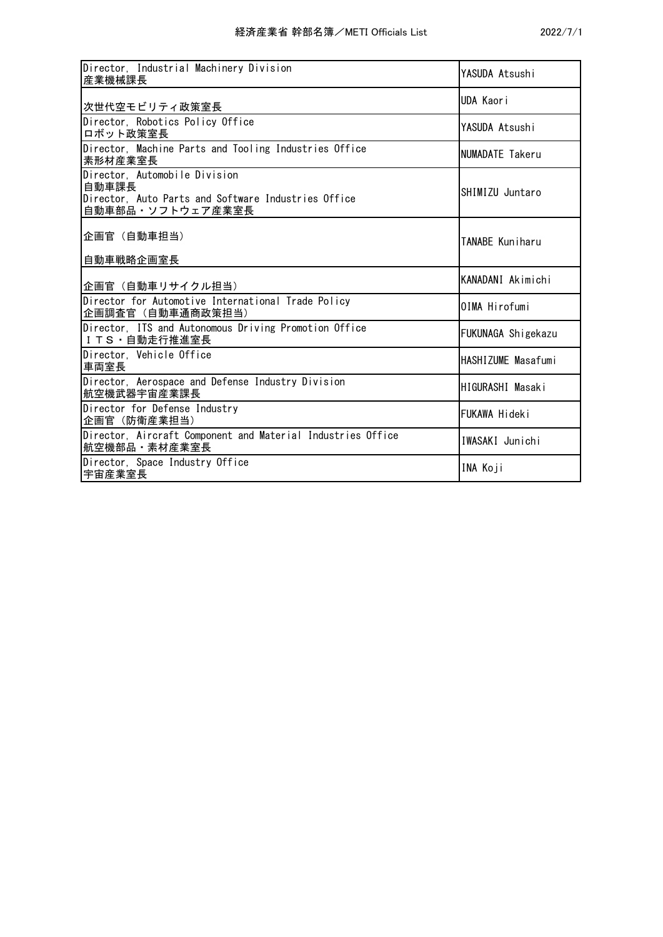| Director, Industrial Machinery Division<br> 産業機械課長                                                                | YASUDA Atsushi     |
|-------------------------------------------------------------------------------------------------------------------|--------------------|
| 次世代空モビリティ政策室長                                                                                                     | UDA Kaori          |
| Director, Robotics Policy Office<br>ロボット政策室長                                                                      | YASUDA Atsushi     |
| Director, Machine Parts and Tooling Industries Office<br>素形材産業室長                                                  | NUMADATE Takeru    |
| Director, Automobile Division<br>自動車課長<br>Director, Auto Parts and Software Industries Office<br>自動車部品・ソフトウェア産業室長 | SHIMIZU Juntaro    |
| 企画官 (自動車担当)<br>自動車戦略企画室長                                                                                          | TANABE Kuniharu    |
| 企画官(自動車リサイクル担当)                                                                                                   | KANADANI Akimichi  |
| Director for Automotive International Trade Policy<br> 企画調査官(自動車通商政策担当)                                           | OIMA Hirofumi      |
| Director, ITS and Autonomous Driving Promotion Office<br>ITS · 自動走行推進室長                                           | FUKUNAGA Shigekazu |
| Director, Vehicle Office<br>車両室長                                                                                  | HASHIZUME Masafumi |
| Director, Aerospace and Defense Industry Division<br> 航空機武器宇宙産業課長                                                 | HIGURASHI Masaki   |
| Director for Defense Industry<br> 企画官(防衛産業担当)                                                                     | FUKAWA Hideki      |
| Director, Aircraft Component and Material Industries Office<br> 航空機部品・素材産業室長                                      | IWASAKI Junichi    |
| Director, Space Industry Office<br>宇宙産業室長                                                                         | INA Koji           |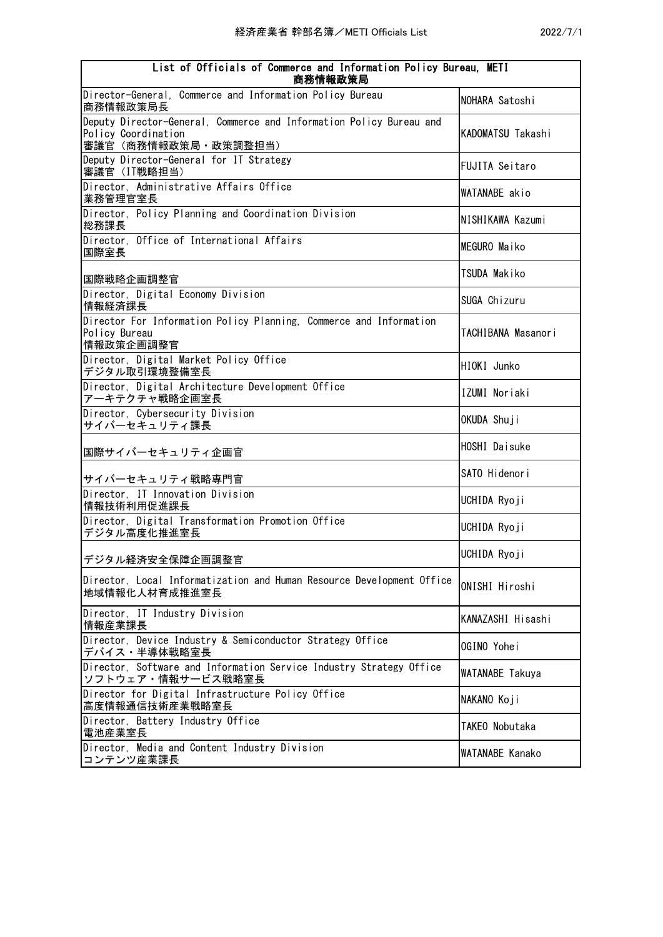| List of Officials of Commerce and Information Policy Bureau, METI<br>商務情報政策局                                         |                       |  |
|----------------------------------------------------------------------------------------------------------------------|-----------------------|--|
| Director-General, Commerce and Information Policy Bureau<br>商務情報政策局長                                                 | NOHARA Satoshi        |  |
| Deputy Director-General, Commerce and Information Policy Bureau and<br>Policy Coordination<br>審議官 (商務情報政策局 · 政策調整担当) | KADOMATSU Takashi     |  |
| Deputy Director-General for IT Strategy<br>審議官 (IT戦略担当)                                                              | <b>FUJITA Seitaro</b> |  |
| Director, Administrative Affairs Office<br>業務管理官室長                                                                   | WATANABE akio         |  |
| Director, Policy Planning and Coordination Division<br>総務課長                                                          | NISHIKAWA Kazumi      |  |
| Director, Office of International Affairs<br>国際室長                                                                    | MEGURO Maiko          |  |
| 国際戦略企画調整官                                                                                                            | TSUDA Makiko          |  |
| Director, Digital Economy Division<br>情報経済課長                                                                         | SUGA Chizuru          |  |
| Director For Information Policy Planning, Commerce and Information<br>Policy Bureau<br>情報政策企画調整官                     | TACHIBANA Masanori    |  |
| Director, Digital Market Policy Office<br>デジタル取引環境整備室長                                                               | HIOKI Junko           |  |
| Director, Digital Architecture Development Office<br>アーキテクチャ戦略企画室長                                                   | IZUMI Noriaki         |  |
| Director, Cybersecurity Division<br>サイバーセキュリティ課長                                                                     | OKUDA Shuji           |  |
| 国際サイバーセキュリティ企画官                                                                                                      | HOSHI Daisuke         |  |
| サイバーセキュリティ戦略専門官                                                                                                      | SATO Hidenori         |  |
| Director, IT Innovation Division<br>情報技術利用促進課長                                                                       | UCHIDA Ryoji          |  |
| Director, Digital Transformation Promotion Office<br>デジタル高度化推進室長                                                     | UCHIDA Ryoji          |  |
| デジタル経済安全保障企画調整官                                                                                                      | UCHIDA Ryoji          |  |
| Director, Local Informatization and Human Resource Development Office<br>地域情報化人材育成推進室長                               | ONISHI Hiroshi        |  |
| Director, IT Industry Division<br>情報産業課長                                                                             | KANAZASHI Hisashi     |  |
| Director, Device Industry & Semiconductor Strategy Office<br>デバイス・半導体戦略室長                                            | OGINO Yohei           |  |
| Director, Software and Information Service Industry Strategy Office<br>ソフトウェア・情報サービス戦略室長                             | WATANABE Takuya       |  |
| Director for Digital Infrastructure Policy Office<br>高度情報通信技術産業戦略室長                                                  | NAKANO Koji           |  |
| Director, Battery Industry Office<br>電池産業室長                                                                          | TAKEO Nobutaka        |  |
| Director, Media and Content Industry Division<br>コンテンツ産業課長                                                           | WATANABE Kanako       |  |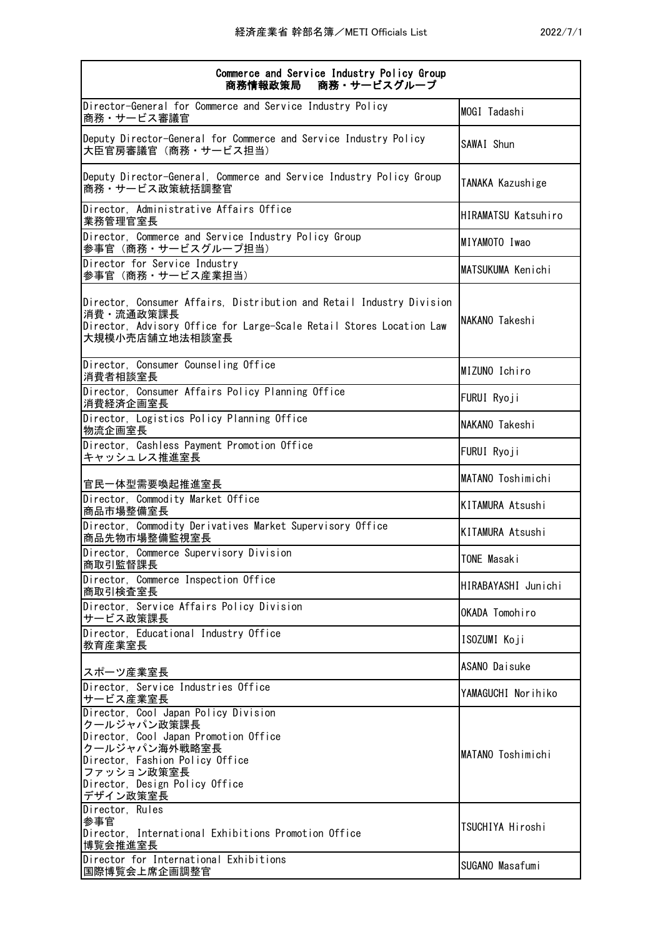| Commerce and Service Industry Policy Group<br>商務・サービスグループ<br>商務情報政策局                                                                                                                                         |                     |
|--------------------------------------------------------------------------------------------------------------------------------------------------------------------------------------------------------------|---------------------|
| Director-General for Commerce and Service Industry Policy<br>商務・サービス審議官                                                                                                                                      | MOGI Tadashi        |
| Deputy Director-General for Commerce and Service Industry Policy<br>大臣官房審議官(商務・サービス担当)                                                                                                                       | SAWAI Shun          |
| Deputy Director-General, Commerce and Service Industry Policy Group<br>商務・サービス政策統括調整官                                                                                                                        | TANAKA Kazushige    |
| Director, Administrative Affairs Office<br>業務管理官室長                                                                                                                                                           | HIRAMATSU Katsuhiro |
| Director, Commerce and Service Industry Policy Group<br>参事官(商務・サービスグループ担当)                                                                                                                                   | MIYAMOTO Iwao       |
| Director for Service Industry<br>参事官(商務・サービス産業担当)                                                                                                                                                            | MATSUKUMA Kenichi   |
| Director, Consumer Affairs, Distribution and Retail Industry Division<br>消費·流通政策課長<br>Director, Advisory Office for Large-Scale Retail Stores Location Law<br>大規模小売店舗立地法相談室長                                 | NAKANO Takeshi      |
| Director, Consumer Counseling Office<br>消費者相談室長                                                                                                                                                              | MIZUNO Ichiro       |
| Director, Consumer Affairs Policy Planning Office<br>消費経済企画室長                                                                                                                                                | FURUI Ryoji         |
| Director, Logistics Policy Planning Office<br>物流企画室長                                                                                                                                                         | NAKANO Takeshi      |
| Director, Cashless Payment Promotion Office<br>キャッシュレス推進室長                                                                                                                                                   | FURUI Ryoji         |
| 官民一体型需要喚起推進室長                                                                                                                                                                                                | MATANO Toshimichi   |
| Director, Commodity Market Office<br>商品市場整備室長                                                                                                                                                                | KITAMURA Atsushi    |
| Director, Commodity Derivatives Market Supervisory Office<br>商品先物市場整備監視室長                                                                                                                                    | KITAMURA Atsushi    |
| Director, Commerce Supervisory Division<br>商取引監督課長                                                                                                                                                           | TONE Masaki         |
| Director, Commerce Inspection Office<br>商取引検査室長                                                                                                                                                              | HIRABAYASHI Junichi |
| Director, Service Affairs Policy Division<br>サービス政策課長                                                                                                                                                        | OKADA Tomohiro      |
| Director, Educational Industry Office<br>教育産業室長                                                                                                                                                              | ISOZUMI Koji        |
| スポーツ産業室長                                                                                                                                                                                                     | ASANO Daisuke       |
| Director, Service Industries Office<br>サービス産業室長                                                                                                                                                              | YAMAGUCHI Norihiko  |
| Director, Cool Japan Policy Division<br>クールジャパン政策課長<br>Director, Cool Japan Promotion Office<br>クールジャパン海外戦略室長<br>Director, Fashion Policy Office<br>ファッション政策室長<br>Director, Design Policy Office<br>デザイン政策室長 | MATANO Toshimichi   |
| Director, Rules<br>参事官<br>Director, International Exhibitions Promotion Office<br>博覧会推進室長                                                                                                                    | TSUCHIYA Hiroshi    |
| Director for International Exhibitions<br>国際博覧会上席企画調整官                                                                                                                                                       | SUGANO Masafumi     |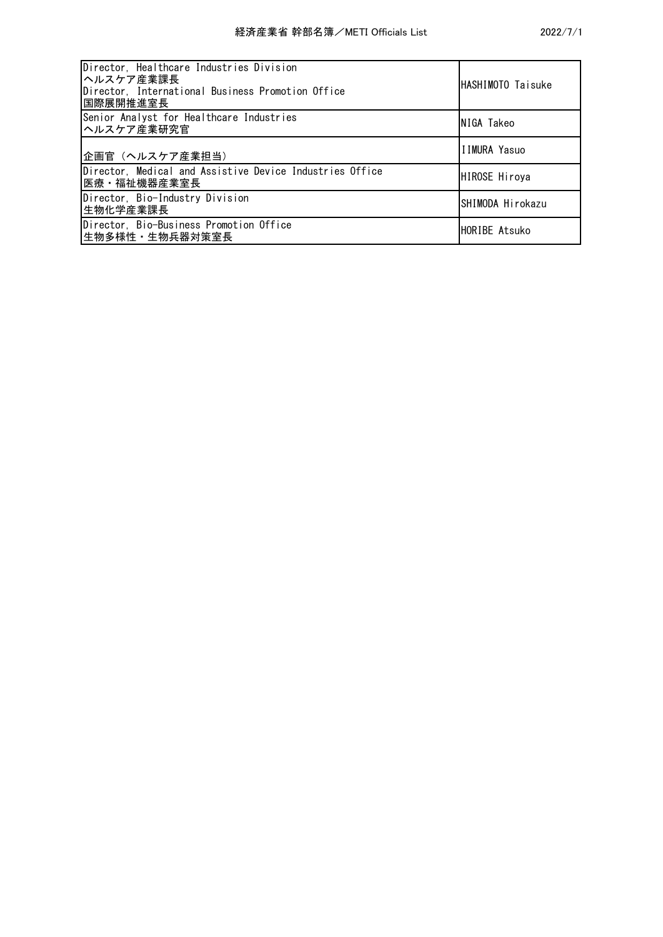| Director, Healthcare Industries Division<br> ヘルスケア産業課長 <br>Director, International Business Promotion Office<br>国際展開推進室長 | HASHIMOTO Taisuke    |
|--------------------------------------------------------------------------------------------------------------------------|----------------------|
| Senior Analyst for Healthcare Industries<br>ヘルスケア産業研究官                                                                   | NIGA Takeo           |
| 企画官 (ヘルスケア産業担当)                                                                                                          | IIMURA Yasuo         |
| Director, Medical and Assistive Device Industries Office<br> 医療・福祉機器産業室長                                                 | <b>HIROSE Hiroya</b> |
| Director, Bio-Industry Division<br> 生物化学産業課長                                                                             | SHIMODA Hirokazu     |
| Director, Bio-Business Promotion Office<br> 生物多様性・生物兵器対策室長                                                               | HORIBE Atsuko        |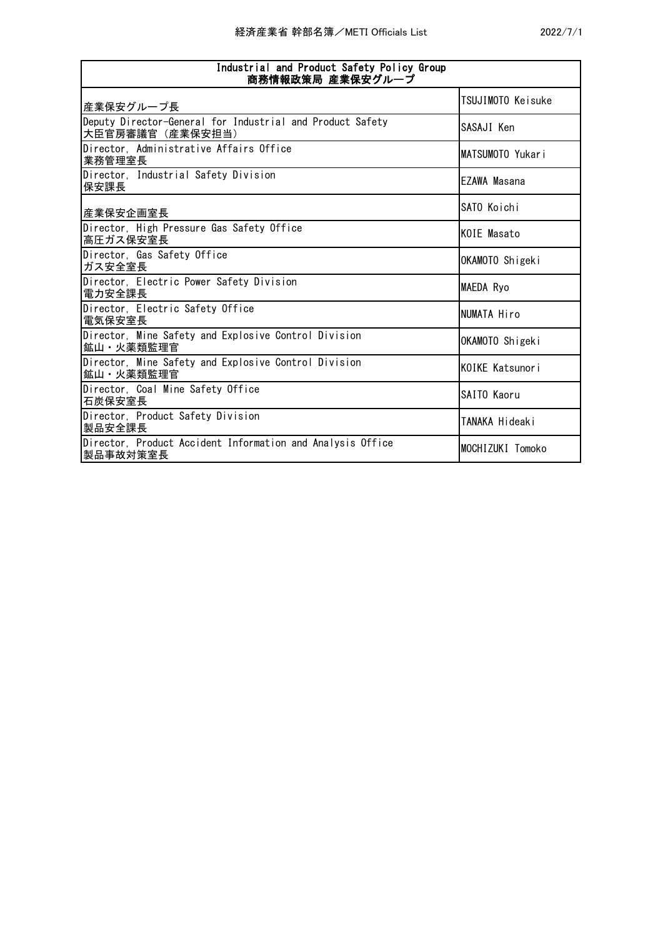| Industrial and Product Safety Policy Group<br>商務情報政策局 産業保安グループ               |                     |  |
|------------------------------------------------------------------------------|---------------------|--|
| 産業保安グループ長                                                                    | TSUJIMOTO Keisuke   |  |
| Deputy Director-General for Industrial and Product Safety<br>大臣官房審議官(産業保安担当) | SASAJI Ken          |  |
| Director, Administrative Affairs Office<br>業務管理室長                            | MATSUMOTO Yukari    |  |
| Director, Industrial Safety Division<br>保安課長                                 | <b>FZAWA Masana</b> |  |
| 産業保安企画室長                                                                     | SATO Koichi         |  |
| Director, High Pressure Gas Safety Office<br>高圧ガス保安室長                        | KOIE Masato         |  |
| Director, Gas Safety Office<br>ガス安全室長                                        | OKAMOTO Shigeki     |  |
| Director, Electric Power Safety Division<br>電力安全課長                           | <b>MAEDA Ryo</b>    |  |
| Director, Electric Safety Office<br>電気保安室長                                   | NUMATA Hiro         |  |
| Director, Mine Safety and Explosive Control Division<br>鉱山・火薬類監理官            | OKAMOTO Shigeki     |  |
| Director, Mine Safety and Explosive Control Division<br>鉱山・火薬類監理官            | KOIKE Katsunori     |  |
| Director, Coal Mine Safety Office<br>石炭保安室長                                  | SAITO Kaoru         |  |
| Director, Product Safety Division<br>製品安全課長                                  | TANAKA Hideaki      |  |
| Director, Product Accident Information and Analysis Office<br>製品事故対策室長       | MOCHIZUKI Tomoko    |  |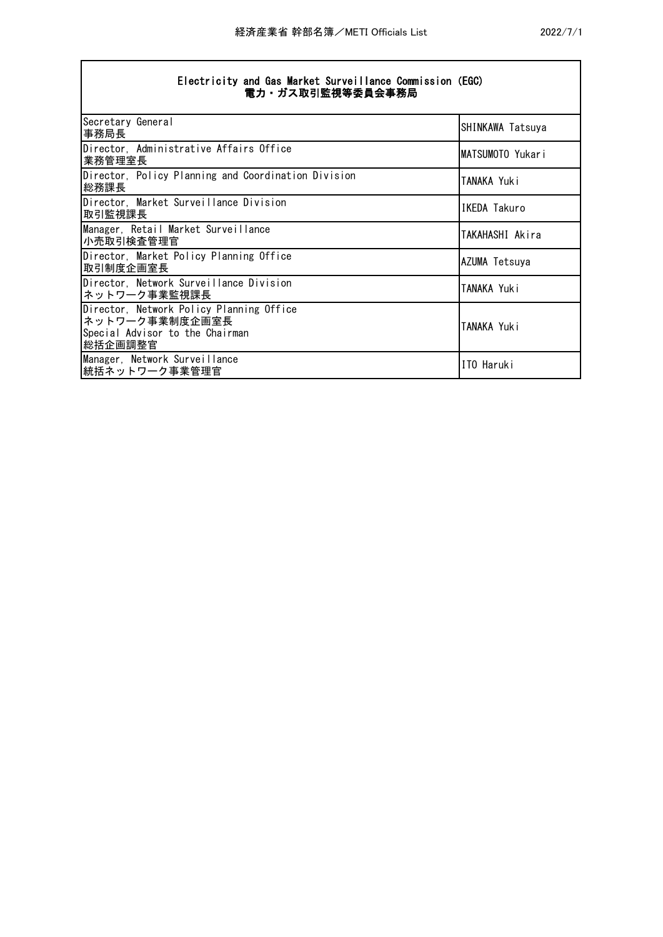| 2022/7/ |  |  |
|---------|--|--|
|         |  |  |

|                  | Electricity and Gas Market Surveillance Commission (EGC) |  |  |
|------------------|----------------------------------------------------------|--|--|
| 電力・ガス取引監視等委員会事務局 |                                                          |  |  |

| Secretary General<br> 事務局長                                                                                 | SHINKAWA Tatsuya   |
|------------------------------------------------------------------------------------------------------------|--------------------|
| Director, Administrative Affairs Office<br> 業務管理室長                                                         | MATSUMOTO Yukari   |
| Director, Policy Planning and Coordination Division<br> 総務課長                                               | <b>TANAKA Yuki</b> |
| Director, Market Surveillance Division<br> 取引監視課長                                                          | IKEDA Takuro       |
| Manager, Retail Market Surveillance<br> 小売取引検査管理官                                                          | TAKAHASHI Akira    |
| Director, Market Policy Planning Office<br> 取引制度企画室長                                                       | AZUMA Tetsuya      |
| Director, Network Surveillance Division<br> ネットワーク事業監視課長                                                   | TANAKA Yuki        |
| Director, Network Policy Planning Office<br> ネットワーク事業制度企画室長<br>Special Advisor to the Chairman<br> 総括企画調整官 | TANAKA Yuki        |
| Manager, Network Surveillance<br>統括ネットワーク事業管理官                                                             | ITO Haruki         |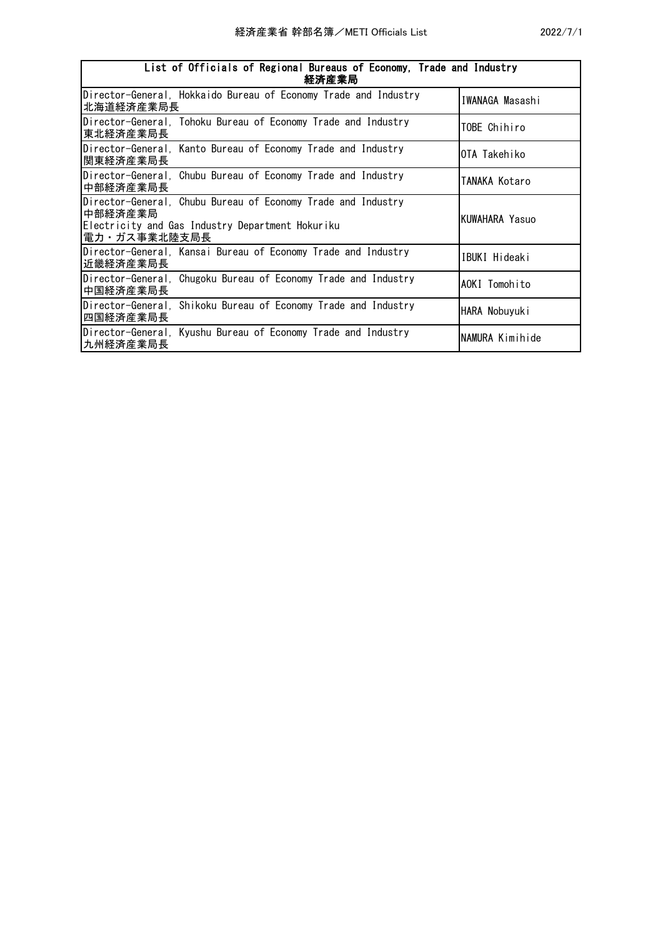| List of Officials of Regional Bureaus of Economy, Trade and Industry<br>経済産業局                                                                |                 |
|----------------------------------------------------------------------------------------------------------------------------------------------|-----------------|
| Director-General, Hokkaido Bureau of Economy Trade and Industry<br> 北海道経済産業局長                                                                | IWANAGA Masashi |
| Director-General, Tohoku Bureau of Economy Trade and Industry<br> 東北経済産業局長                                                                   | TOBE Chihiro    |
| Director-General, Kanto Bureau of Economy Trade and Industry<br> 関東経済産業局長                                                                    | OTA Takehiko    |
| Director-General, Chubu Bureau of Economy Trade and Industry<br> 中部経済産業局長                                                                    | TANAKA Kotaro   |
| Director-General, Chubu Bureau of Economy Trade and Industry<br>中部経済産業局<br>Electricity and Gas Industry Department Hokuriku<br> 電力・ガス事業北陸支局長 | KUWAHARA Yasuo  |
| Director-General, Kansai Bureau of Economy Trade and Industry<br> 近畿経済産業局長                                                                   | IBUKI Hideaki   |
| Director-General, Chugoku Bureau of Economy Trade and Industry<br>中国経済産業局長                                                                   | AOKI Tomohito   |
| Director-General, Shikoku Bureau of Economy Trade and Industry<br> 四国経済産業局長                                                                  | HARA Nobuyuki   |
| Director-General, Kyushu Bureau of Economy Trade and Industry<br> 九州経済産業局長                                                                   | NAMURA Kimihide |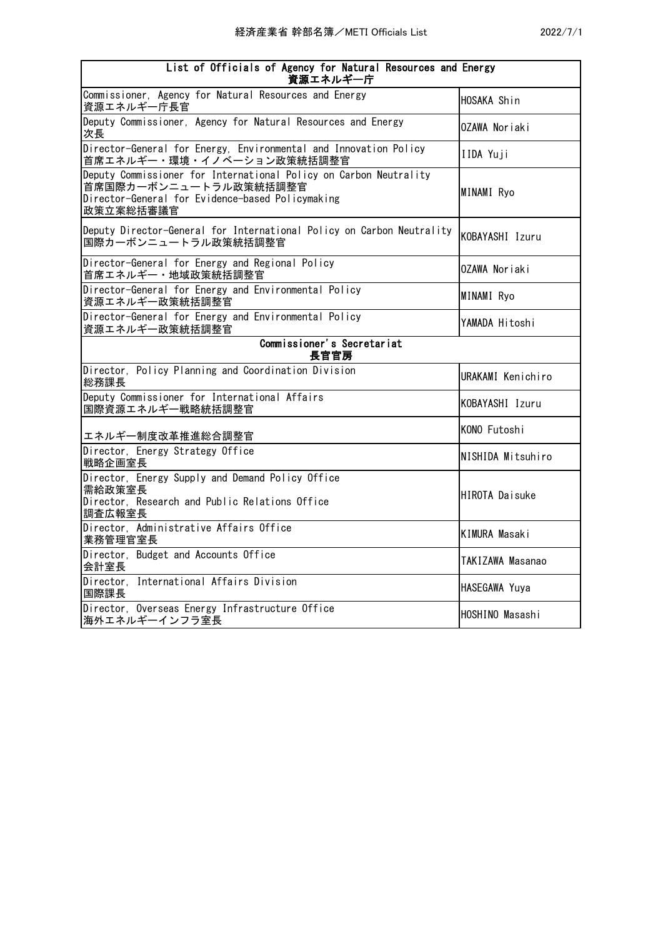| List of Officials of Agency for Natural Resources and Energy<br>資源エネルギー庁                                                                                    |                       |
|-------------------------------------------------------------------------------------------------------------------------------------------------------------|-----------------------|
| Commissioner, Agency for Natural Resources and Energy<br>資源エネルギー庁長官                                                                                         | HOSAKA Shin           |
| Deputy Commissioner, Agency for Natural Resources and Energy<br>次長                                                                                          | OZAWA Noriaki         |
| Director-General for Energy, Environmental and Innovation Policy<br>首席エネルギー・環境・イノベーション政策統括調整官                                                               | IIDA Yuji             |
| Deputy Commissioner for International Policy on Carbon Neutrality<br>首席国際カーボンニュートラル政策統括調整官<br>Director-General for Evidence-based Policymaking<br>政策立案総括審議官 | MINAMI Ryo            |
| Deputy Director-General for International Policy on Carbon Neutrality<br>国際カーボンニュートラル政策統括調整官                                                                | KOBAYASHI Izuru       |
| Director-General for Energy and Regional Policy<br>首席エネルギー・地域政策統括調整官                                                                                        | OZAWA Noriaki         |
| Director-General for Energy and Environmental Policy<br>資源エネルギー政策統括調整官                                                                                      | MINAMI Ryo            |
| Director-General for Energy and Environmental Policy<br>資源エネルギー政策統括調整官                                                                                      | YAMADA Hitoshi        |
| Commissioner's Secretariat<br>長官官房                                                                                                                          |                       |
| Director, Policy Planning and Coordination Division<br>総務課長                                                                                                 | URAKAMI Kenichiro     |
| Deputy Commissioner for International Affairs<br>国際資源エネルギー戦略統括調整官                                                                                           | KOBAYASHI Izuru       |
| エネルギー制度改革推進総合調整官                                                                                                                                            | KONO Futoshi          |
| Director, Energy Strategy Office<br>戦略企画室長                                                                                                                  | NISHIDA Mitsuhiro     |
| Director, Energy Supply and Demand Policy Office<br>需給政策室長<br>Director, Research and Public Relations Office<br>調査広報室長                                      | <b>HIROTA Daisuke</b> |
| Director, Administrative Affairs Office<br>業務管理官室長                                                                                                          | <b>KIMURA Masaki</b>  |
| Director, Budget and Accounts Office<br>会計室長                                                                                                                | TAKIZAWA Masanao      |
| Director, International Affairs Division<br>国際課長                                                                                                            | HASEGAWA Yuya         |
| Director, Overseas Energy Infrastructure Office<br>海外エネルギーインフラ室長                                                                                            | HOSHINO Masashi       |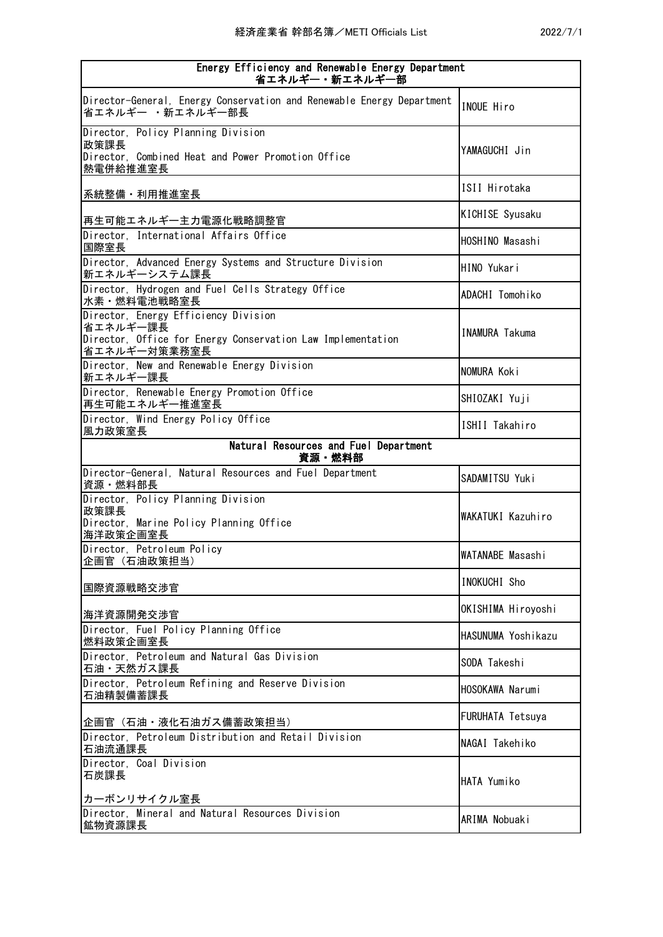| Energy Efficiency and Renewable Energy Department<br>省エネルギー・新エネルギー部                                                             |                         |
|---------------------------------------------------------------------------------------------------------------------------------|-------------------------|
| Director-General, Energy Conservation and Renewable Energy Department<br>省エネルギー ・新エネルギー部長                                       | INOUE Hiro              |
| Director, Policy Planning Division<br>政策課長<br>Director, Combined Heat and Power Promotion Office<br>熱電併給推進室長                    | YAMAGUCHI Jin           |
| 系統整備・利用推進室長                                                                                                                     | ISII Hirotaka           |
| 再生可能エネルギー主力電源化戦略調整官                                                                                                             | KICHISE Syusaku         |
| Director, International Affairs Office<br>国際室長                                                                                  | HOSHINO Masashi         |
| Director, Advanced Energy Systems and Structure Division<br>新エネルギーシステム課長                                                        | HINO Yukari             |
| Director, Hydrogen and Fuel Cells Strategy Office<br>水素·燃料電池戦略室長                                                                | ADACHI Tomohiko         |
| Director, Energy Efficiency Division<br>省エネルギー課長<br>Director, Office for Energy Conservation Law Implementation<br>省エネルギー対策業務室長 | <b>INAMURA Takuma</b>   |
| Director, New and Renewable Energy Division<br>新エネルギー課長                                                                         | NOMURA Koki             |
| Director, Renewable Energy Promotion Office<br>再生可能エネルギー推進室長                                                                    | SHIOZAKI Yuji           |
| Director, Wind Energy Policy Office<br>風力政策室長                                                                                   | ISHII Takahiro          |
| Natural Resources and Fuel Department<br>資源・燃料部                                                                                 |                         |
| Director-General, Natural Resources and Fuel Department<br>資源・燃料部長                                                              | SADAMITSU Yuki          |
| Director, Policy Planning Division<br>政策課長<br>Director, Marine Policy Planning Office<br>海洋政策企画室長                               | WAKATUKI Kazuhiro       |
| Director, Petroleum Policy<br>企画官(石油政策担当)                                                                                       | WATANABE Masashi        |
| 国際資源戦略交渉官                                                                                                                       | INOKUCHI Sho            |
| 海洋資源開発交渉官                                                                                                                       | OKISHIMA Hiroyoshi      |
| Director, Fuel Policy Planning Office<br>燃料政策企画室長                                                                               | HASUNUMA Yoshikazu      |
| Director, Petroleum and Natural Gas Division<br>石油・天然ガス課長                                                                       | SODA Takeshi            |
| Director, Petroleum Refining and Reserve Division<br>石油精製備蓄課長                                                                   | HOSOKAWA Narumi         |
| 企画官(石油・液化石油ガス備蓄政策担当)                                                                                                            | <b>FURUHATA Tetsuya</b> |
| Director, Petroleum Distribution and Retail Division<br>石油流通課長                                                                  | NAGAI Takehiko          |
| Director, Coal Division<br>石炭課長                                                                                                 | HATA Yumiko             |
| カーボンリサイクル室長<br>Director, Mineral and Natural Resources Division                                                                 | ARIMA Nobuaki           |
| 鉱物資源課長                                                                                                                          |                         |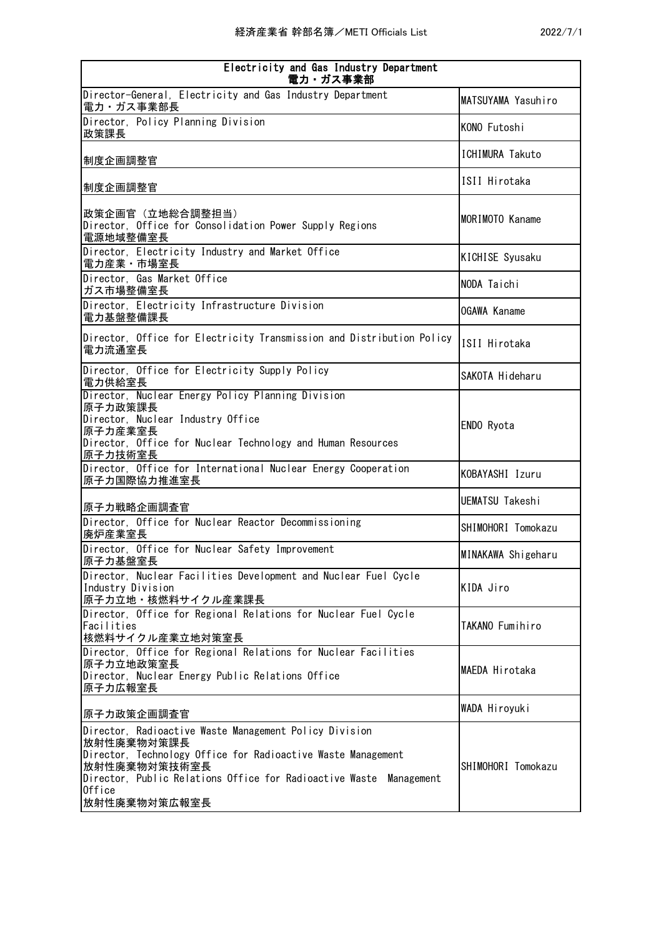| Electricity and Gas Industry Department<br>電力・ガス事業部                                                                                                                                                                                                  |                     |
|------------------------------------------------------------------------------------------------------------------------------------------------------------------------------------------------------------------------------------------------------|---------------------|
| Director-General, Electricity and Gas Industry Department<br>電力・ガス事業部長                                                                                                                                                                               | MATSUYAMA Yasuhiro  |
| Director, Policy Planning Division<br>政策課長                                                                                                                                                                                                           | KONO Futoshi        |
| 制度企画調整官                                                                                                                                                                                                                                              | ICHIMURA Takuto     |
| 制度企画調整官                                                                                                                                                                                                                                              | ISII Hirotaka       |
| 政策企画官 (立地総合調整担当)<br>Director, Office for Consolidation Power Supply Regions<br>電源地域整備室長                                                                                                                                                              | MORIMOTO Kaname     |
| Director, Electricity Industry and Market Office<br>電力産業・市場室長                                                                                                                                                                                        | KICHISE Syusaku     |
| Director, Gas Market Office<br>ガス市場整備室長                                                                                                                                                                                                              | NODA Taichi         |
| Director, Electricity Infrastructure Division<br>電力基盤整備課長                                                                                                                                                                                            | <b>OGAWA Kaname</b> |
| Director, Office for Electricity Transmission and Distribution Policy<br>電力流通室長                                                                                                                                                                      | ISII Hirotaka       |
| Director, Office for Electricity Supply Policy<br>電力供給室長                                                                                                                                                                                             | SAKOTA Hideharu     |
| Director, Nuclear Energy Policy Planning Division<br>原子力政策課長<br>Director, Nuclear Industry Office<br>原子力産業室長<br>Director, Office for Nuclear Technology and Human Resources<br>原子力技術室長                                                               | ENDO Ryota          |
| Director, Office for International Nuclear Energy Cooperation<br>原子力国際協力推進室長                                                                                                                                                                         | KOBAYASHI Izuru     |
| 原子力戦略企画調査官                                                                                                                                                                                                                                           | UEMATSU Takeshi     |
| Director, Office for Nuclear Reactor Decommissioning<br>廃炉産業室長                                                                                                                                                                                       | SHIMOHORI Tomokazu  |
| Director, Office for Nuclear Safety Improvement<br>原子力基盤室長                                                                                                                                                                                           | MINAKAWA Shigeharu  |
| Director, Nuclear Facilities Development and Nuclear Fuel Cycle<br>Industry Division<br>原子力立地・核燃料サイクル産業課長                                                                                                                                            | KIDA Jiro           |
| Director, Office for Regional Relations for Nuclear Fuel Cycle<br>Facilities<br>核燃料サイクル産業立地対策室長                                                                                                                                                      | TAKANO Fumihiro     |
| Director, Office for Regional Relations for Nuclear Facilities<br>原子力立地政策室長<br>Director, Nuclear Energy Public Relations Office<br>原子力広報室長                                                                                                           | MAEDA Hirotaka      |
| 原子力政策企画調査官                                                                                                                                                                                                                                           | WADA Hiroyuki       |
| Director, Radioactive Waste Management Policy Division<br>放射性廃棄物対策課長<br>Director, Technology Office for Radioactive Waste Management<br>放射性廃棄物対策技術室長<br>Director, Public Relations Office for Radioactive Waste Management<br>Office<br>放射性廃棄物対策広報室長 | SHIMOHORI Tomokazu  |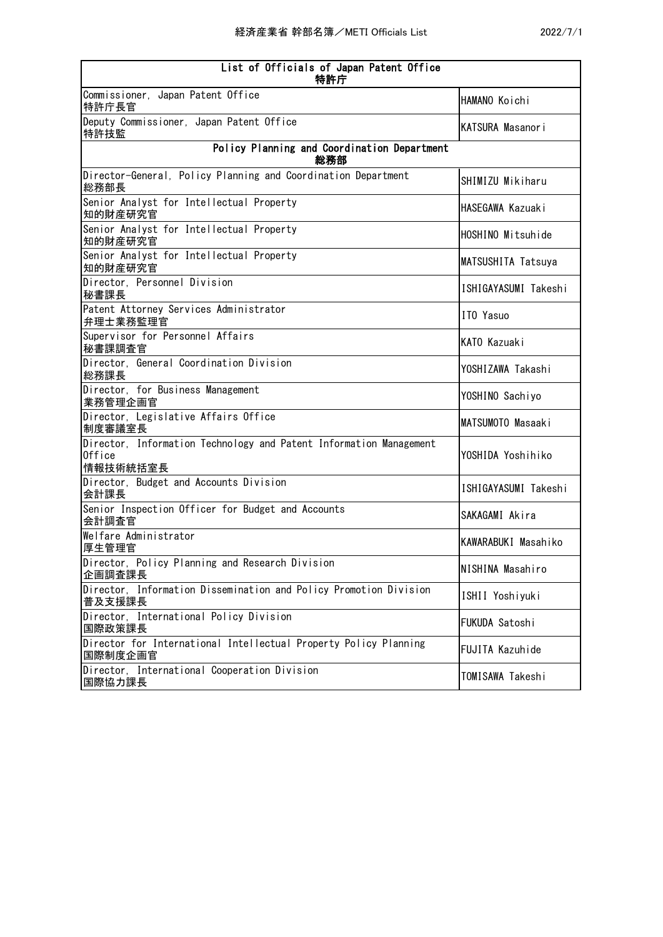| List of Officials of Japan Patent Office<br>特許庁                                          |                      |
|------------------------------------------------------------------------------------------|----------------------|
| Commissioner, Japan Patent Office<br>特許庁長官                                               | HAMANO Koichi        |
| Deputy Commissioner, Japan Patent Office<br>特許技監                                         | KATSURA Masanori     |
| Policy Planning and Coordination Department<br>総務部                                       |                      |
| Director-General, Policy Planning and Coordination Department<br>総務部長                    | SHIMIZU Mikiharu     |
| Senior Analyst for Intellectual Property<br>知的財産研究官                                      | HASEGAWA Kazuaki     |
| Senior Analyst for Intellectual Property<br>知的財産研究官                                      | HOSHINO Mitsuhide    |
| Senior Analyst for Intellectual Property<br>知的財産研究官                                      | MATSUSHITA Tatsuya   |
| Director, Personnel Division<br>秘書課長                                                     | ISHIGAYASUMI Takeshi |
| Patent Attorney Services Administrator<br>弁理士業務監理官                                       | ITO Yasuo            |
| Supervisor for Personnel Affairs<br>秘書課調査官                                               | KATO Kazuaki         |
| Director, General Coordination Division<br>総務課長                                          | YOSHIZAWA Takashi    |
| Director, for Business Management<br>業務管理企画官                                             | YOSHINO Sachiyo      |
| Director, Legislative Affairs Office<br>制度審議室長                                           | MATSUMOTO Masaaki    |
| Director, Information Technology and Patent Information Management<br>Office<br>情報技術統括室長 | YOSHIDA Yoshihiko    |
| Director, Budget and Accounts Division<br>会計課長                                           | ISHIGAYASUMI Takeshi |
| Senior Inspection Officer for Budget and Accounts<br>会計調査官                               | SAKAGAMI Akira       |
| Welfare Administrator<br>厚生管理官                                                           | KAWARABUKI Masahiko  |
| Director, Policy Planning and Research Division<br>企画調査課長                                | NISHINA Masahiro     |
| Director, Information Dissemination and Policy Promotion Division<br>普及支援課長              | ISHII Yoshiyuki      |
| Director, International Policy Division<br>国際政策課長                                        | FUKUDA Satoshi       |
| Director for International Intellectual Property Policy Planning<br>国際制度企画官              | FUJITA Kazuhide      |
| Director, International Cooperation Division<br>国際協力課長                                   | TOMISAWA Takeshi     |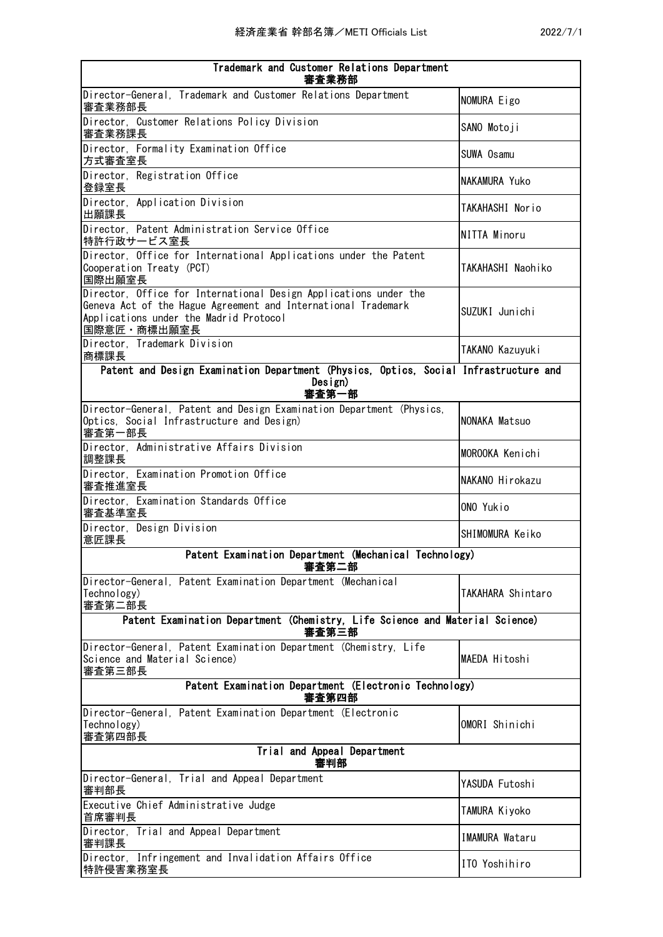| Trademark and Customer Relations Department<br>審査業務部                                                                                                                                       |                       |
|--------------------------------------------------------------------------------------------------------------------------------------------------------------------------------------------|-----------------------|
| Director-General, Trademark and Customer Relations Department<br>審査業務部長                                                                                                                    | NOMURA Eigo           |
| Director, Customer Relations Policy Division<br>審査業務課長                                                                                                                                     | SANO Motoji           |
| Director, Formality Examination Office<br>方式審査室長                                                                                                                                           | SUWA Osamu            |
| Director, Registration Office<br>登録室長                                                                                                                                                      | NAKAMURA Yuko         |
| Director, Application Division<br>出願課長                                                                                                                                                     | TAKAHASHI Norio       |
| Director, Patent Administration Service Office<br>特許行政サービス室長                                                                                                                               | NITTA Minoru          |
| Director, Office for International Applications under the Patent<br>Cooperation Treaty (PCT)<br>国際出願室長                                                                                     | TAKAHASHI Naohiko     |
| Director, Office for International Design Applications under the<br>Geneva Act of the Hague Agreement and International Trademark<br>Applications under the Madrid Protocol<br>国際意匠・商標出願室長 | SUZUKI Junichi        |
| Director, Trademark Division<br>商標課長                                                                                                                                                       | TAKANO Kazuyuki       |
| Patent and Design Examination Department (Physics, Optics, Social Infrastructure and<br>Design)                                                                                            |                       |
| 審査第一部                                                                                                                                                                                      |                       |
| Director-General, Patent and Design Examination Department (Physics,<br>Optics, Social Infrastructure and Design)<br>審査第一部長                                                                | NONAKA Matsuo         |
| Director, Administrative Affairs Division<br>調整課長                                                                                                                                          | MOROOKA Kenichi       |
| Director, Examination Promotion Office<br>審査推進室長                                                                                                                                           | NAKANO Hirokazu       |
| Director, Examination Standards Office<br>審査基準室長                                                                                                                                           | ONO Yukio             |
| Director, Design Division<br>意匠課長                                                                                                                                                          | SHIMOMURA Keiko       |
| Patent Examination Department (Mechanical Technology)<br>審査第二部                                                                                                                             |                       |
| Director-General, Patent Examination Department (Mechanical<br>Technology)<br>審査第二部長                                                                                                       | TAKAHARA Shintaro     |
| Patent Examination Department (Chemistry, Life Science and Material Science)<br>審査第三部                                                                                                      |                       |
| Director-General, Patent Examination Department (Chemistry, Life<br>Science and Material Science)<br>審査第三部長                                                                                | MAEDA Hitoshi         |
| Patent Examination Department (Electronic Technology)<br>審査第四部                                                                                                                             |                       |
| Director-General, Patent Examination Department (Electronic<br>Technology)<br>審査第四部長                                                                                                       | OMORI Shinichi        |
| Trial and Appeal Department<br>審判部                                                                                                                                                         |                       |
| Director-General, Trial and Appeal Department<br>審判部長                                                                                                                                      | YASUDA Futoshi        |
| Executive Chief Administrative Judge<br>首席審判長                                                                                                                                              | TAMURA Kiyoko         |
| Director, Trial and Appeal Department<br>審判課長                                                                                                                                              | <b>IMAMURA Wataru</b> |
| Director, Infringement and Invalidation Affairs Office<br>特許侵害業務室長                                                                                                                         | ITO Yoshihiro         |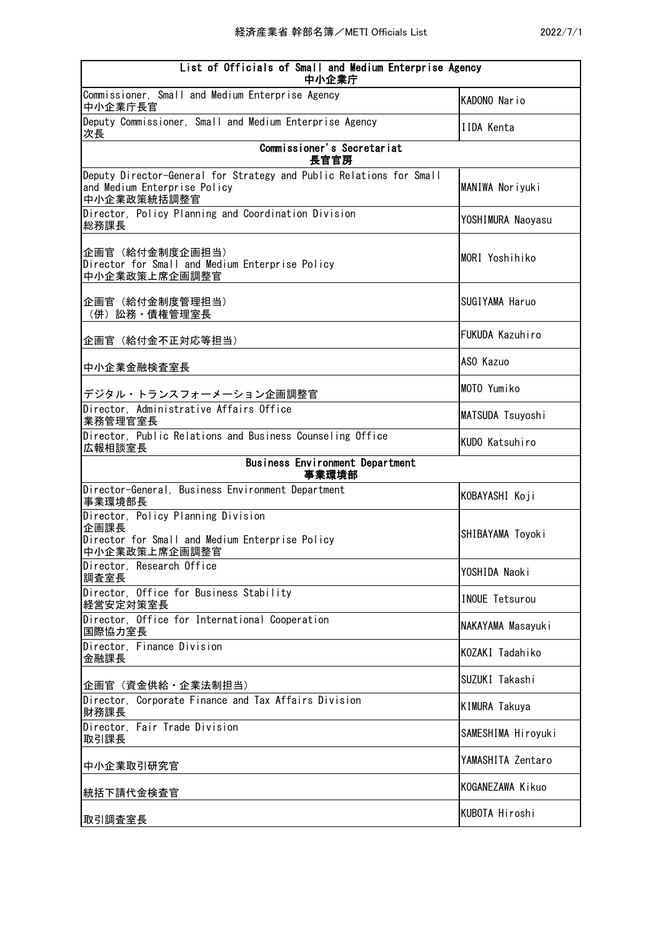| List of Officials of Small and Medium Enterprise Agency<br>中小企業庁                                                   |                       |
|--------------------------------------------------------------------------------------------------------------------|-----------------------|
| Commissioner, Small and Medium Enterprise Agency<br>中小企業庁長官                                                        | KADONO Nario          |
| Deputy Commissioner, Small and Medium Enterprise Agency<br>次長                                                      | <b>IIDA Kenta</b>     |
| Commissioner's Secretariat<br>長官官房                                                                                 |                       |
| Deputy Director-General for Strategy and Public Relations for Small<br>and Medium Enterprise Policy<br>中小企業政策統括調整官 | MANIWA Noriyuki       |
| Director, Policy Planning and Coordination Division<br>総務課長                                                        | YOSHIMURA Naoyasu     |
| 企画官(給付金制度企画担当)<br>Director for Small and Medium Enterprise Policy<br>中小企業政策上席企画調整官                                 | MORI Yoshihiko        |
| 企画官(給付金制度管理担当)<br>(併)訟務・債権管理室長                                                                                     | SUGIYAMA Haruo        |
| 企画官(給付金不正対応等担当)                                                                                                    | FUKUDA Kazuhiro       |
| 中小企業金融検査室長                                                                                                         | ASO Kazuo             |
| デジタル・トランスフォーメーション企画調整官                                                                                             | MOTO Yumiko           |
| Director, Administrative Affairs Office<br>業務管理官室長                                                                 | MATSUDA Tsuyoshi      |
| Director, Public Relations and Business Counseling Office<br>広報相談室長                                                | KUDO Katsuhiro        |
| Business Environment Department<br>事業環境部                                                                           |                       |
| Director-General, Business Environment Department<br>事業環境部長                                                        | KOBAYASHI Koji        |
| Director, Policy Planning Division<br>企画課長<br>Director for Small and Medium Enterprise Policy<br>中小企業政策上席企画調整官     | SHIBAYAMA Toyoki      |
| Director, Research Office<br>調査室長                                                                                  | YOSHIDA Naoki         |
| Director, Office for Business Stability<br>経営安定対策室長                                                                | <b>INOUE Tetsurou</b> |
| Director, Office for International Cooperation<br>国際協力室長                                                           | NAKAYAMA Masayuki     |
| Director, Finance Division<br>金融課長                                                                                 | KOZAKI Tadahiko       |
| 企画官(資金供給・企業法制担当)                                                                                                   | SUZUKI Takashi        |
| Director, Corporate Finance and Tax Affairs Division<br>財務課長                                                       | <b>KIMURA Takuya</b>  |
| Director, Fair Trade Division<br>取引課長                                                                              | SAMESHIMA Hiroyuki    |
| 中小企業取引研究官                                                                                                          | YAMASHITA Zentaro     |
| 統括下請代金検査官                                                                                                          | KOGANEZAWA Kikuo      |
| 取引調査室長                                                                                                             | KUBOTA Hiroshi        |